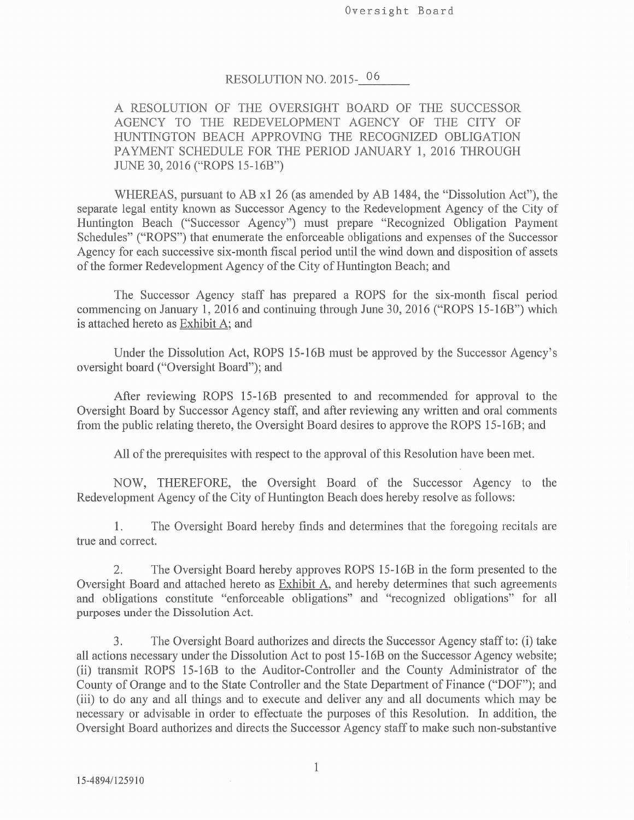Oversight Board

### RESOLUTION NO. 2015-06

A RESOLUTION OF THE OVERSIGHT BOARD OF THE SUCCESSOR AGENCY TO THE REDEVELOPMENT AGENCY OF THE CITY OF HUNTINGTON BEACH APPROVING THE RECOGNIZED OBLIGATION PAYMENT SCHEDULE FOR THE PERIOD JANUARY 1, 2016 THROUGH JUNE 30, 2016 ("ROPS 15-16B")

WHEREAS, pursuant to AB x1 26 (as amended by AB 1484, the "Dissolution Act"), the separate legal entity known as Successor Agency to the Redevelopment Agency of the City of Huntington Beach ("Successor Agency") must prepare "Recognized Obligation Payment Schedules" ("ROPS") that enumerate the enforceable obligations and expenses of the Successor Agency for each successive six-month fiscal period until the wind down and disposition of assets of the former Redevelopment Agency of the City of Huntington Beach; and

The Successor Agency staff has prepared a ROPS for the six-month fiscal period commencing on January 1, 2016 and continuing through June 30, 2016 ("ROPS 15-16B") which is attached hereto as Exhibit A; and

Under the Dissolution Act, ROPS 15-16B must be approved by the Successor Agency's oversight board ("Oversight Board"); and

After reviewing ROPS 15-16B presented to and recommended for approval to the Oversight Board by Successor Agency staff, and after reviewing any written and oral comments from the public relating thereto, the Oversight Board desires to approve the ROPS 15-16B; and

All of the prerequisites with respect to the approval of this Resolution have been met.

NOW, THEREFORE, the Oversight Board of the Successor Agency to the Redevelopment Agency of the City of Huntington Beach does hereby resolve as follows:

The Oversight Board hereby finds and determines that the foregoing recitals are 1. true and correct.

 $2.$ The Oversight Board hereby approves ROPS 15-16B in the form presented to the Oversight Board and attached hereto as Exhibit A, and hereby determines that such agreements and obligations constitute "enforceable obligations" and "recognized obligations" for all purposes under the Dissolution Act.

The Oversight Board authorizes and directs the Successor Agency staff to: (i) take 3. all actions necessary under the Dissolution Act to post 15-16B on the Successor Agency website; (ii) transmit ROPS 15-16B to the Auditor-Controller and the County Administrator of the County of Orange and to the State Controller and the State Department of Finance ("DOF"); and (iii) to do any and all things and to execute and deliver any and all documents which may be necessary or advisable in order to effectuate the purposes of this Resolution. In addition, the Oversight Board authorizes and directs the Successor Agency staff to make such non-substantive

 $\mathbf{1}$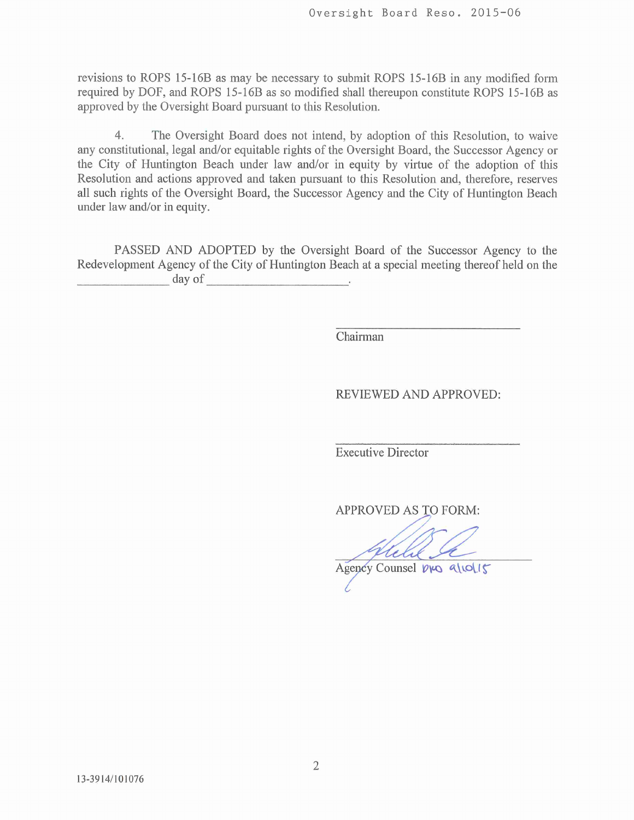revisions to ROPS 15-16B as may be necessary to submit ROPS 15-16B in any modified form required by DOF, and ROPS 15-16B as so modified shall thereupon constitute ROPS 15-16B as approved by the Oversight Board pursuant to this Resolution.

 $\overline{4}$ The Oversight Board does not intend, by adoption of this Resolution, to waive any constitutional, legal and/or equitable rights of the Oversight Board, the Successor Agency or the City of Huntington Beach under law and/or in equity by virtue of the adoption of this Resolution and actions approved and taken pursuant to this Resolution and, therefore, reserves all such rights of the Oversight Board, the Successor Agency and the City of Huntington Beach under law and/or in equity.

PASSED AND ADOPTED by the Oversight Board of the Successor Agency to the Redevelopment Agency of the City of Huntington Beach at a special meeting thereof held on the day of

Chairman

REVIEWED AND APPROVED:

**Executive Director** 

**APPROVED AS TO FORM:** 

Agency Counsel Dro 9/10/15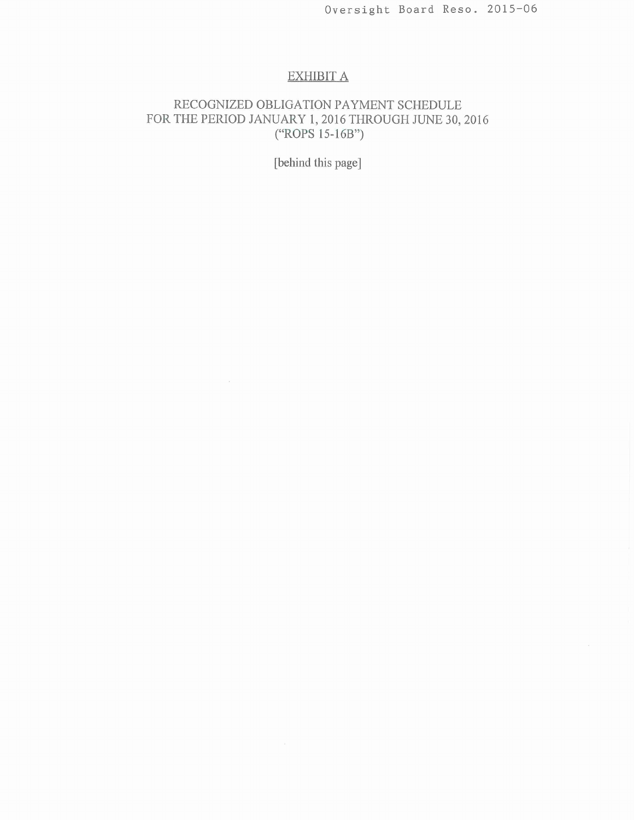# **EXHIBIT A**

# RECOGNIZED OBLIGATION PAYMENT SCHEDULE FOR THE PERIOD JANUARY 1, 2016 THROUGH JUNE 30, 2016<br>
("ROPS 15-16B")

[behind this page]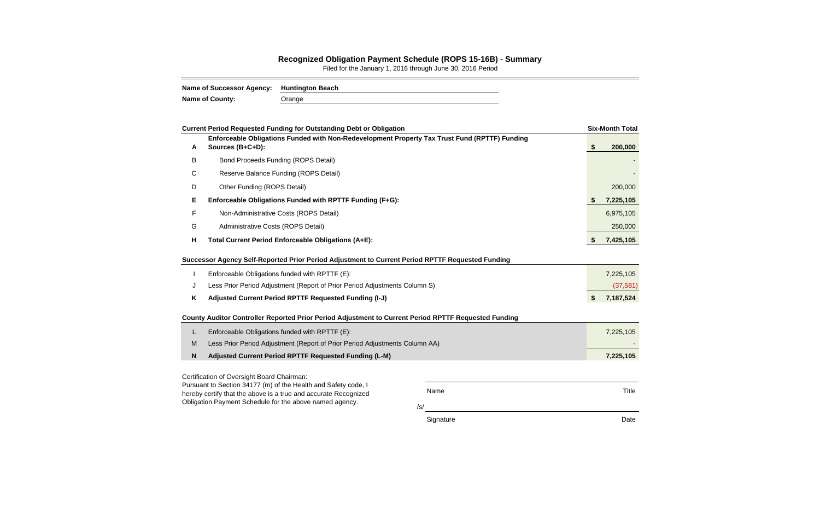Name Title

/s/

Signature Date Date Date

Title

### **Recognized Obligation Payment Schedule (ROPS 15-16B) - Summary**

Filed for the January 1, 2016 through June 30, 2016 Period

| Name of Successor Agency: Huntington Beach |        |
|--------------------------------------------|--------|
| <b>Name of County:</b>                     | Orange |

|             | <b>Current Period Requested Funding for Outstanding Debt or Obligation</b>                                        |    | <b>Six-Month Total</b> |
|-------------|-------------------------------------------------------------------------------------------------------------------|----|------------------------|
| A           | Enforceable Obligations Funded with Non-Redevelopment Property Tax Trust Fund (RPTTF) Funding<br>Sources (B+C+D): | \$ | 200,000                |
| B           | Bond Proceeds Funding (ROPS Detail)                                                                               |    |                        |
| C           | Reserve Balance Funding (ROPS Detail)                                                                             |    |                        |
| D           | Other Funding (ROPS Detail)                                                                                       |    | 200,000                |
| Е           | Enforceable Obligations Funded with RPTTF Funding (F+G):                                                          | S  | 7,225,105              |
| F           | Non-Administrative Costs (ROPS Detail)                                                                            |    | 6,975,105              |
| G           | Administrative Costs (ROPS Detail)                                                                                |    | 250,000                |
| H           | Total Current Period Enforceable Obligations (A+E):                                                               | S. | 7,425,105              |
|             | Successor Agency Self-Reported Prior Period Adjustment to Current Period RPTTF Requested Funding                  |    |                        |
|             | Enforceable Obligations funded with RPTTF (E):                                                                    |    | 7,225,105              |
| J           | Less Prior Period Adjustment (Report of Prior Period Adjustments Column S)                                        |    | (37, 581)              |
| Κ           | Adjusted Current Period RPTTF Requested Funding (I-J)                                                             | \$ | 7,187,524              |
|             | County Auditor Controller Reported Prior Period Adjustment to Current Period RPTTF Requested Funding              |    |                        |
| L           | Enforceable Obligations funded with RPTTF (E):                                                                    |    | 7,225,105              |
| M           | Less Prior Period Adjustment (Report of Prior Period Adjustments Column AA)                                       |    |                        |
| $\mathbf N$ | Adjusted Current Period RPTTF Requested Funding (L-M)                                                             |    | 7,225,105              |
|             | Certification of Oversight Board Chairman:<br>Pursuant to Section 34177 (m) of the Health and Safety code.        |    |                        |

Pursuant to Section 34177 (m) of the Health and Safety code, I hereby certify that the above is a true and accurate Recognized Obligation Payment Schedule for the above named agency.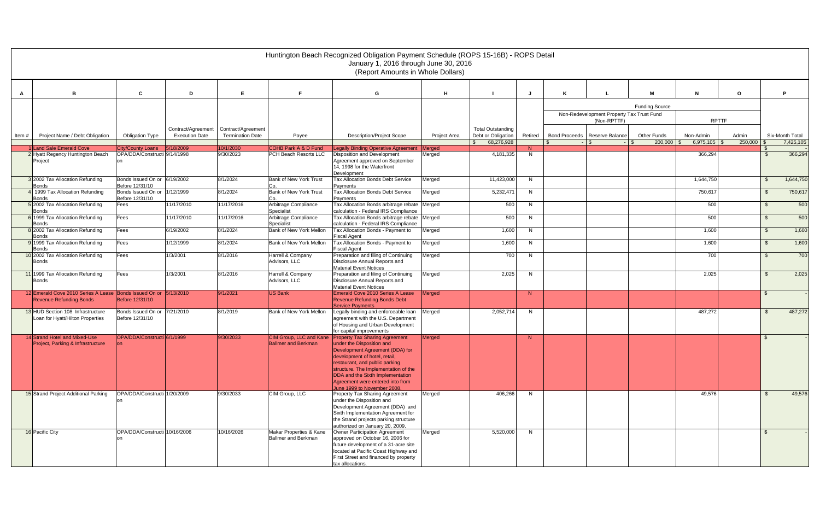|       |                                                                                                    |                                                 |                       |                         |                                                | Huntington Beach Recognized Obligation Payment Schedule (ROPS 15-16B) - ROPS Detail<br>January 1, 2016 through June 30, 2016                                                                                                                                                   |               |                          |                |                                           |                       |                |         |                |                 |
|-------|----------------------------------------------------------------------------------------------------|-------------------------------------------------|-----------------------|-------------------------|------------------------------------------------|--------------------------------------------------------------------------------------------------------------------------------------------------------------------------------------------------------------------------------------------------------------------------------|---------------|--------------------------|----------------|-------------------------------------------|-----------------------|----------------|---------|----------------|-----------------|
|       |                                                                                                    |                                                 |                       |                         |                                                | (Report Amounts in Whole Dollars)                                                                                                                                                                                                                                              |               |                          |                |                                           |                       |                |         |                |                 |
| A     | <b>B</b>                                                                                           | C                                               | D                     | E                       | F.                                             | G                                                                                                                                                                                                                                                                              | H             |                          |                |                                           | м                     | N              | $\circ$ |                | D               |
|       |                                                                                                    |                                                 |                       |                         |                                                |                                                                                                                                                                                                                                                                                |               |                          |                |                                           | <b>Funding Source</b> |                |         |                |                 |
|       |                                                                                                    |                                                 |                       |                         |                                                |                                                                                                                                                                                                                                                                                |               |                          |                | Non-Redevelopment Property Tax Trust Fund |                       |                |         |                |                 |
|       |                                                                                                    |                                                 | Contract/Agreement    | Contract/Agreement      |                                                |                                                                                                                                                                                                                                                                                |               | <b>Total Outstanding</b> |                | (Non-RPTTF)                               |                       | <b>RPTTF</b>   |         |                |                 |
| Item# | Project Name / Debt Obligation                                                                     | <b>Obligation Type</b>                          | <b>Execution Date</b> | <b>Termination Date</b> | Payee                                          | <b>Description/Project Scope</b>                                                                                                                                                                                                                                               | Project Area  | Debt or Obligation       | Retired        | Bond Proceeds   Reserve Balance           | <b>Other Funds</b>    | Non-Admin      | Admin   |                | Six-Month Total |
|       | 1 Land Sale Emerald Cove                                                                           | <b>City/County Loans</b>                        | 5/18/2009             | 10/1/2030               | COHB Park A & D Fund                           | egally Binding Operative Agreement Merged                                                                                                                                                                                                                                      |               | 68,276,928               | N              | $-$ \$                                    | $200,000$ \$          | $6,975,105$ \$ | 250,000 |                | 7,425,105       |
|       | 2 Hyatt Regency Huntington Beach                                                                   | OPA/DDA/Constructi 9/14/1998                    |                       | 9/30/2023               | PCH Beach Resorts LLC                          | <b>Disposition and Development</b>                                                                                                                                                                                                                                             | Merged        | 4,181,335                | N.             |                                           |                       | 366,294        |         | - \$           | 366,294         |
|       | Project                                                                                            |                                                 |                       |                         |                                                | Agreement approved on September<br>14, 1998 for the Waterfront<br>Development                                                                                                                                                                                                  |               |                          |                |                                           |                       |                |         |                |                 |
|       | 3 2002 Tax Allocation Refunding<br><b>Bonds</b>                                                    | Bonds Issued On or 6/19/2002<br>Before 12/31/10 |                       | 8/1/2024                | <b>Bank of New York Trust</b>                  | <b>Tax Allocation Bonds Debt Service</b><br>Payments                                                                                                                                                                                                                           | Merged        | 11,423,000               | N              |                                           |                       | 1,644,750      |         | -\$            | 1,644,750       |
|       | 4 1999 Tax Allocation Refunding<br><b>Bonds</b>                                                    | Bonds Issued On or<br>Before 12/31/10           | 1/12/1999             | 8/1/2024                | <b>Bank of New York Trust</b><br>Co.           | Tax Allocation Bonds Debt Service<br>Payments                                                                                                                                                                                                                                  | Merged        | 5,232,471                | -N             |                                           |                       | 750,617        |         | $\mathfrak{L}$ | 750,617         |
|       | 5 2002 Tax Allocation Refunding<br><b>Bonds</b>                                                    | Fees                                            | 11/17/2010            | 11/17/2016              | Arbitrage Compliance<br>Specialist             | Tax Allocation Bonds arbitrage rebate<br>calculation - Federal IRS Compliance                                                                                                                                                                                                  | Merged        | 500                      | N.             |                                           |                       | 500            |         | \$             | 500             |
|       | 6 1999 Tax Allocation Refunding<br><b>Bonds</b>                                                    | Fees                                            | 11/17/2010            | 11/17/2016              | Arbitrage Compliance<br>Specialist             | Tax Allocation Bonds arbitrage rebate<br>calculation - Federal IRS Compliance                                                                                                                                                                                                  | Merged        | 500                      | N              |                                           |                       | 500            |         | \$             | 500             |
|       | 8 2002 Tax Allocation Refunding<br><b>Bonds</b>                                                    | Fees                                            | 6/19/2002             | 8/1/2024                | Bank of New York Mellon                        | Tax Allocation Bonds - Payment to<br><b>Fiscal Agent</b>                                                                                                                                                                                                                       | Merged        | 1,600                    | N <sub>N</sub> |                                           |                       | 1,600          |         | $\mathfrak{L}$ | 1,600           |
|       | 9 1999 Tax Allocation Refunding<br><b>Bonds</b>                                                    | Fees                                            | 1/12/1999             | 8/1/2024                | Bank of New York Mellon                        | Tax Allocation Bonds - Payment to<br><b>Fiscal Agent</b>                                                                                                                                                                                                                       | Merged        | 1,600                    | N.             |                                           |                       | 1,600          |         | $\mathfrak{S}$ | 1,600           |
|       | 10 2002 Tax Allocation Refunding<br><b>Bonds</b>                                                   | Fees                                            | 1/3/2001              | 8/1/2016                | Harrell & Company<br>Advisors, LLC             | Preparation and filing of Continuing<br>Disclosure Annual Reports and<br><b>Material Event Notices</b>                                                                                                                                                                         | Merged        | 700                      | N              |                                           |                       | 700            |         | \$.            | 700             |
|       | 11 1999 Tax Allocation Refunding<br><b>Bonds</b>                                                   | Fees                                            | 1/3/2001              | 8/1/2016                | Harrell & Company<br>Advisors, LLC             | Preparation and filing of Continuing<br>Disclosure Annual Reports and<br><b>Material Event Notices</b>                                                                                                                                                                         | Merged        | 2,025                    | N <sub>N</sub> |                                           |                       | 2,025          |         | $\mathfrak{L}$ | 2,025           |
|       | 12 Emerald Cove 2010 Series A Lease Bonds Issued On or 5/13/2010<br><b>Revenue Refunding Bonds</b> | Before 12/31/10                                 |                       | 9/1/2021                | US Bank                                        | Emerald Cove 2010 Series A Lease<br><b>Revenue Refunding Bonds Debt</b><br><b>Service Payments</b>                                                                                                                                                                             | Merged        |                          | N              |                                           |                       |                |         | \$.            |                 |
|       | 13 HUD Section 108 Infrastructure<br>Loan for Hyatt/Hilton Properties                              | Bonds Issued On or<br>Before 12/31/10           | 7/21/2010             | 8/1/2019                | Bank of New York Mellon                        | Legally binding and enforceable loan<br>agreement with the U.S. Department<br>of Housing and Urban Development<br>for capital improvements                                                                                                                                     | Merged        | 2,052,714                | N.             |                                           |                       | 487,272        |         | -\$            | 487,272         |
|       | 14 Strand Hotel and Mixed-Use                                                                      | OPA/DDA/Constructi 6/1/1999                     |                       | 9/30/2033               | CIM Group, LLC and Kane                        | <b>Property Tax Sharing Agreement</b>                                                                                                                                                                                                                                          | <b>Merged</b> |                          | N              |                                           |                       |                |         | \$             |                 |
|       | Project, Parking & Infrastructure                                                                  | lon.                                            |                       |                         | <b>Ballmer and Berkman</b>                     | under the Disposition and<br>Development Agreement (DDA) for<br>development of hotel, retail,<br>restaurant, and public parking<br>structure. The Implementation of the<br>DDA and the Sixth Implementation<br>Agreement were entered into from<br>June 1999 to November 2008. |               |                          |                |                                           |                       |                |         |                |                 |
|       | 15 Strand Project Additional Parking                                                               | OPA/DDA/Constructi 1/20/2009                    |                       | 9/30/2033               | CIM Group, LLC                                 | Property Tax Sharing Agreement<br>under the Disposition and<br>Development Agreement (DDA) and<br>Sixth Implementation Agreement for<br>the Strand projects parking structure<br>authorized on January 20, 2009.                                                               | Merged        | 406,266                  | N              |                                           |                       | 49,576         |         | \$             | 49,576          |
|       | 16 Pacific City                                                                                    | OPA/DDA/Constructi 10/16/2006                   |                       | 10/16/2026              | Makar Properties & Kane<br>Ballmer and Berkman | Owner Participation Agreement<br>approved on October 16, 2006 for<br>future development of a 31-acre site<br>located at Pacific Coast Highway and<br>First Street and financed by property<br>tax allocations.                                                                 | Merged        | 5,520,000                | N              |                                           |                       |                |         | $\mathfrak{L}$ |                 |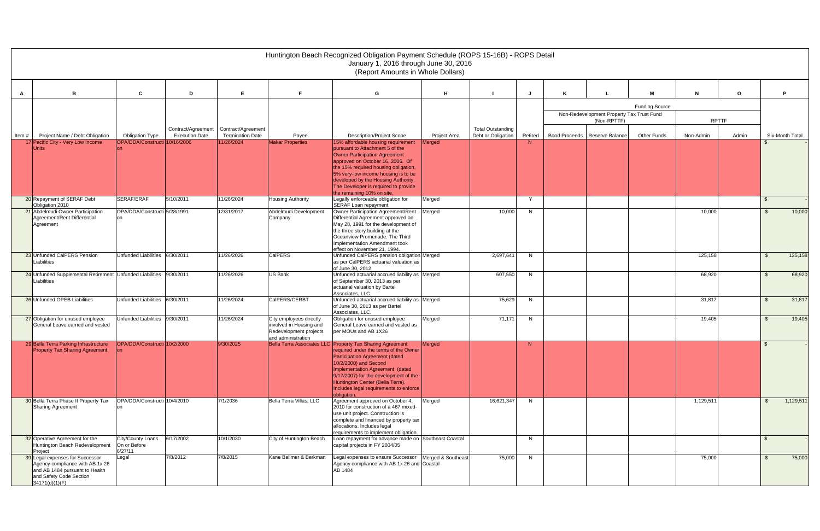|       |                                                                                                                                                   |                                              |                       |                                                                    |                                                                                                    | Huntington Beach Recognized Obligation Payment Schedule (ROPS 15-16B) - ROPS Detail<br>January 1, 2016 through June 30, 2016                                                                                                                                                                                                           |                     |                                                |         |                                           |                       |              |         |                |                 |
|-------|---------------------------------------------------------------------------------------------------------------------------------------------------|----------------------------------------------|-----------------------|--------------------------------------------------------------------|----------------------------------------------------------------------------------------------------|----------------------------------------------------------------------------------------------------------------------------------------------------------------------------------------------------------------------------------------------------------------------------------------------------------------------------------------|---------------------|------------------------------------------------|---------|-------------------------------------------|-----------------------|--------------|---------|----------------|-----------------|
|       |                                                                                                                                                   |                                              |                       |                                                                    |                                                                                                    | (Report Amounts in Whole Dollars)                                                                                                                                                                                                                                                                                                      |                     |                                                |         |                                           |                       |              |         |                |                 |
| A     | <b>B</b>                                                                                                                                          | C                                            | D                     | E                                                                  | F.                                                                                                 | G                                                                                                                                                                                                                                                                                                                                      | H                   |                                                |         |                                           | м                     | N            | $\circ$ |                | D               |
|       |                                                                                                                                                   |                                              |                       |                                                                    |                                                                                                    |                                                                                                                                                                                                                                                                                                                                        |                     |                                                |         |                                           | <b>Funding Source</b> |              |         |                |                 |
|       |                                                                                                                                                   |                                              |                       |                                                                    |                                                                                                    |                                                                                                                                                                                                                                                                                                                                        |                     |                                                |         | Non-Redevelopment Property Tax Trust Fund |                       |              |         |                |                 |
|       |                                                                                                                                                   |                                              |                       |                                                                    |                                                                                                    |                                                                                                                                                                                                                                                                                                                                        |                     |                                                |         | (Non-RPTTF)                               |                       | <b>RPTTF</b> |         |                |                 |
| Item# | Project Name / Debt Obligation                                                                                                                    | <b>Obligation Type</b>                       | <b>Execution Date</b> | Contract/Agreement   Contract/Agreement<br><b>Termination Date</b> | Payee                                                                                              | <b>Description/Project Scope</b>                                                                                                                                                                                                                                                                                                       | <b>Project Area</b> | <b>Total Outstanding</b><br>Debt or Obligation | Retired | Bond Proceeds   Reserve Balance           | <b>Other Funds</b>    | Non-Admin    | Admin   |                | Six-Month Total |
|       | 17 Pacific City - Very Low Income                                                                                                                 | OPA/DDA/Constructi 10/16/2006                |                       | 11/26/2024                                                         | <b>Makar Properties</b>                                                                            | 15% affordable housing requirement<br>pursuant to Attachment 5 of the<br>Owner Participation Agreement<br>approved on October 16, 2006. Of<br>the 15% required housing obligation,<br>5% very-low income housing is to be<br>developed by the Housing Authority.<br>The Developer is required to provide                               | Merged              |                                                | N       |                                           |                       |              |         |                |                 |
|       | 20 Repayment of SERAF Debt                                                                                                                        | SERAF/ERAF                                   | 5/10/2011             | 11/26/2024                                                         | <b>Housing Authority</b>                                                                           | the remaining 10% on site.<br>Legally enforceable obligation for                                                                                                                                                                                                                                                                       | Merged              |                                                | Y       |                                           |                       |              |         | \$.            |                 |
|       | Obligation 2010                                                                                                                                   |                                              |                       |                                                                    |                                                                                                    | SERAF Loan repayment                                                                                                                                                                                                                                                                                                                   |                     |                                                |         |                                           |                       |              |         |                |                 |
|       | 21 Abdelmudi Owner Participation<br>Agreement/Rent Differential<br>Agreement                                                                      | OPA/DDA/Constructi 5/28/1991                 |                       | 12/31/2017                                                         | Abdelmudi Development<br>Company                                                                   | Owner Participation Agreement/Rent<br>Differential Agreement approved on<br>May 28, 1991 for the development of<br>the three story building at the<br>Oceanview Promenade. The Third<br>Implementation Amendment took<br>effect on November 21, 1994.                                                                                  | Merged              | 10,000                                         | N       |                                           |                       | 10,000       |         | -\$            | 10,000          |
|       | 23 Unfunded CalPERS Pension<br>iabilities                                                                                                         | Unfunded Liabilities                         | 6/30/2011             | 11/26/2026                                                         | CalPERS                                                                                            | Unfunded CalPERS pension obligation Merged<br>as per CalPERS actuarial valuation as<br>of June 30, 2012                                                                                                                                                                                                                                |                     | 2,697,641                                      | N.      |                                           |                       | 125,158      |         | - \$           | 125,158         |
|       | 24 Unfunded Supplemental Retirement Unfunded Liabilities<br>Liabilities                                                                           |                                              | 9/30/2011             | 11/26/2026                                                         | US Bank                                                                                            | Unfunded actuarial accrued liability as Merged<br>of September 30, 2013 as per<br>actuarial valuation by Bartel<br>Associates, LLC.                                                                                                                                                                                                    |                     | 607,550                                        | N       |                                           |                       | 68,920       |         | - \$           | 68,920          |
|       | 26 Unfunded OPEB Liabilities                                                                                                                      | Unfunded Liabilities 6/30/2011               |                       | 11/26/2024                                                         | CalPERS/CERBT                                                                                      | Unfunded actuarial accrued liability as Merged<br>of June 30, 2013 as per Bartel<br>Associates, LLC.                                                                                                                                                                                                                                   |                     | 75,629                                         | N       |                                           |                       | 31,817       |         | -\$            | 31,817          |
|       | 27 Obligation for unused employee<br>General Leave earned and vested                                                                              | Unfunded Liabilities 9/30/2011               |                       | 11/26/2024                                                         | City employees directly<br>involved in Housing and<br>Redevelopment projects<br>and administration | Obligation for unused employee<br>General Leave earned and vested as<br>per MOUs and AB 1X26                                                                                                                                                                                                                                           | Merged              | 71,171                                         | N.      |                                           |                       | 19,405       |         | $\mathfrak{L}$ | 19,405          |
|       | 29 Bella Terra Parking Infrastructure<br><b>Property Tax Sharing Agreement</b>                                                                    | OPA/DDA/Constructi 10/2/2000<br>lon          |                       | 9/30/2025                                                          |                                                                                                    | Bella Terra Associates LLC Property Tax Sharing Agreement<br>required under the terms of the Owner<br>Participation Agreement (dated<br>10/2/2000) and Second<br>Implementation Agreement (dated<br>9/17/2007) for the development of the<br>Huntington Center (Bella Terra).<br>Includes legal requirements to enforce<br>obligation. | Merged              |                                                | N       |                                           |                       |              |         | - S            |                 |
|       | 30 Bella Terra Phase II Property Tax<br>Sharing Agreement                                                                                         | OPA/DDA/Constructi 10/4/2010                 |                       | 7/1/2036                                                           | Bella Terra Villas, LLC                                                                            | Agreement approved on October 4,<br>2010 for construction of a 467 mixed-<br>use unit project. Construction is<br>complete and financed by property tax<br>allocations. Includes legal<br>requirements to implement obligation.                                                                                                        | Merged              | 16,621,347                                     | N       |                                           |                       | 1,129,511    |         | \$             | 1,129,511       |
|       | 32 Operative Agreement for the<br>Huntington Beach Redevelopment<br>Project                                                                       | City/County Loans<br>On or Before<br>6/27/11 | 6/17/2002             | 10/1/2030                                                          | City of Huntington Beach                                                                           | Loan repayment for advance made on Southeast Coastal<br>capital projects in FY 2004/05                                                                                                                                                                                                                                                 |                     |                                                | N.      |                                           |                       |              |         | - \$           |                 |
|       | 39 Legal expenses for Successor<br>Agency compliance with AB 1x 26<br>and AB 1484 pursuant to Health<br>and Safety Code Section<br>34171(d)(1)(F) | Legal                                        | 7/8/2012              | 7/8/2015                                                           | Kane Ballmer & Berkman                                                                             | Legal expenses to ensure Successor<br>Agency compliance with AB 1x 26 and Coastal<br>AB 1484                                                                                                                                                                                                                                           | Merged & Southeast  | 75,000                                         | N       |                                           |                       | 75,000       |         | $\mathfrak{L}$ | 75,000          |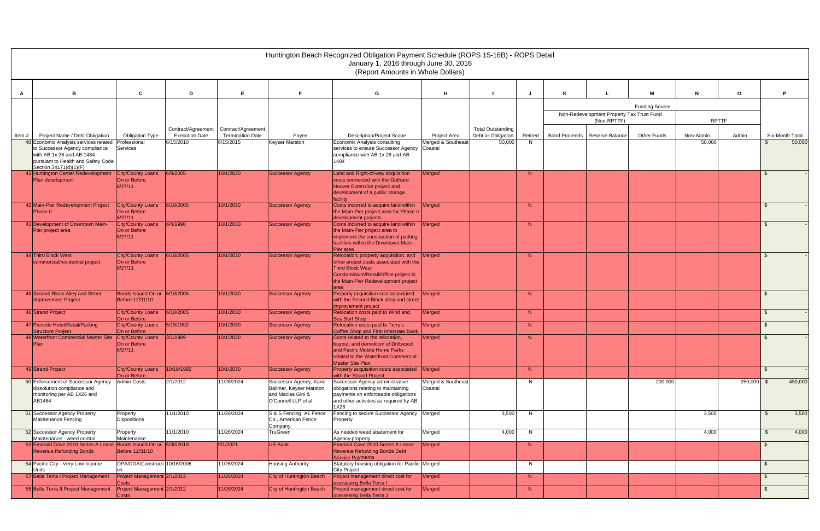|       |                                                                                                                                                                      |                                                     |                       |                         |                                                                                                | Huntington Beach Recognized Obligation Payment Schedule (ROPS 15-16B) - ROPS Detail<br>January 1, 2016 through June 30, 2016<br>(Report Amounts in Whole Dollars) |                                           |                          |         |                                                          |                       |              |          |                |                 |
|-------|----------------------------------------------------------------------------------------------------------------------------------------------------------------------|-----------------------------------------------------|-----------------------|-------------------------|------------------------------------------------------------------------------------------------|-------------------------------------------------------------------------------------------------------------------------------------------------------------------|-------------------------------------------|--------------------------|---------|----------------------------------------------------------|-----------------------|--------------|----------|----------------|-----------------|
|       |                                                                                                                                                                      | C.                                                  | D                     | Е                       |                                                                                                |                                                                                                                                                                   | H                                         |                          |         |                                                          | M                     |              | $\Omega$ |                | D               |
| A     |                                                                                                                                                                      |                                                     |                       |                         |                                                                                                | G                                                                                                                                                                 |                                           |                          |         |                                                          |                       |              |          |                |                 |
|       |                                                                                                                                                                      |                                                     |                       |                         |                                                                                                |                                                                                                                                                                   |                                           |                          |         |                                                          | <b>Funding Source</b> |              |          |                |                 |
|       |                                                                                                                                                                      |                                                     |                       |                         |                                                                                                |                                                                                                                                                                   |                                           |                          |         | Non-Redevelopment Property Tax Trust Fund<br>(Non-RPTTF) |                       | <b>RPTTF</b> |          |                |                 |
|       |                                                                                                                                                                      |                                                     | Contract/Agreement    | Contract/Agreement      |                                                                                                |                                                                                                                                                                   |                                           | <b>Total Outstanding</b> |         |                                                          |                       |              |          |                |                 |
| Item# | Project Name / Debt Obligation                                                                                                                                       | <b>Obligation Type</b>                              | <b>Execution Date</b> | <b>Termination Date</b> | Payee                                                                                          | <b>Description/Project Scope</b><br>Economic Analysis consulting                                                                                                  | <b>Project Area</b><br>Merged & Southeast | Debt or Obligation       | Retired | Bond Proceeds   Reserve Balance                          | <b>Other Funds</b>    | Non-Admin    | Admin    | \$             | Six-Month Total |
|       | 40 Economic Analysis services related<br>to Successor Agency compliance<br>with AB 1x 26 and AB 1484<br>pursuant to Health and Safety Code<br>Section 34171(d)(1)(F) | Professional<br>Services                            | 6/15/2010             | 6/15/2015               | <b>Keyser Marston</b>                                                                          | services to ensure Successor Agency<br>compliance with AB 1x 26 and AB<br>1484                                                                                    | Coastal                                   | 50,000                   | N       |                                                          |                       | 50,000       |          |                | 50,000          |
|       | 41 Huntington Center Redevelopment<br>Plan development                                                                                                               | City/County Loans<br>On or Before<br>6/27/11        | 6/9/2005              | 10/1/2030               | <b>Successor Agency</b>                                                                        | Land and Right-of-way acquisition<br>costs connected with the Gothard-<br>Hoover Extension project and<br>development of a public storage                         | Merged                                    |                          | N       |                                                          |                       |              |          |                |                 |
|       |                                                                                                                                                                      |                                                     |                       |                         |                                                                                                | facilitv                                                                                                                                                          |                                           |                          |         |                                                          |                       |              |          |                |                 |
|       | 42 Main-Pier Redevelopment Project<br><b>Phase II</b>                                                                                                                | <b>City/County Loans</b><br>On or Before<br>6/27/11 | 6/10/2005             | 10/1/2030               | <b>Successor Agency</b>                                                                        | Costs incurred to acquire land within<br>the Main-Pier project area for Phase II<br>development projects                                                          | Merged                                    |                          | N       |                                                          |                       |              |          |                |                 |
|       | 43 Development of Downtown Main-                                                                                                                                     | <b>City/County Loans</b>                            | 6/4/1990              | 10/1/2030               | <b>Successor Agency</b>                                                                        | Costs incurred to acquire land within                                                                                                                             | Merged                                    |                          | N       |                                                          |                       |              |          |                |                 |
|       | Pier project area                                                                                                                                                    | On or Before<br>6/27/11                             |                       |                         |                                                                                                | the Main-Pier project area to<br>implement the construction of parking<br>facilities within the Downtown Main-<br>Pier area                                       |                                           |                          |         |                                                          |                       |              |          |                |                 |
|       | 44 Third Block West<br>commercial/residential project                                                                                                                | <b>City/County Loans</b><br>On or Before<br>6/27/11 | 6/18/2005             | 10/1/2030               | <b>Successor Agency</b>                                                                        | Relocation, property acquisition, and<br>other project costs associated with the<br><b>Third Block West</b>                                                       | Merged                                    |                          | N       |                                                          |                       |              |          |                |                 |
|       |                                                                                                                                                                      |                                                     |                       |                         |                                                                                                | Condominium/Retail/Office project in<br>the Main-Pier Redevelopment project<br>area                                                                               |                                           |                          |         |                                                          |                       |              |          |                |                 |
|       | 45 Second Block Alley and Street<br><b>Improvement Project</b>                                                                                                       | Bonds Issued On or 6/10/2005<br>Before 12/31/10     |                       | 10/1/2030               | <b>Successor Agency</b>                                                                        | Property acquisition cost associated<br>with the Second Block alley and street<br>improvement project                                                             | Merged                                    |                          | N       |                                                          |                       |              |          |                |                 |
|       | 46 Strand Project                                                                                                                                                    | <b>City/County Loans</b><br>On or Before            | 6/18/2005             | 10/1/2030               | <b>Successor Agency</b>                                                                        | Relocation costs paid to Wind and<br>Sea Surf Shop                                                                                                                | Merged                                    |                          | N       |                                                          |                       |              |          | \$.            |                 |
|       | 47 Pierside Hotel/Retail/Parking                                                                                                                                     | <b>City/County Loans</b>                            | 5/15/1992             | 10/1/2030               | <b>Successor Agency</b>                                                                        | Relocation costs paid to Terry's                                                                                                                                  | Merged                                    |                          | N       |                                                          |                       |              |          |                |                 |
|       | Structure Project<br>48 Waterfront Commercial Master Site                                                                                                            | On or Before<br>City/County Loans                   | 3/1/1989              | 10/1/2030               | <b>Successor Agency</b>                                                                        | Coffee Shop and First Interstate Bank<br>Costs related to the relocation,                                                                                         | Merged                                    |                          | N       |                                                          |                       |              |          |                |                 |
|       | <b>Plan</b>                                                                                                                                                          | On or Before<br>6/27/11                             |                       |                         |                                                                                                | buvout, and demolition of Driftwood<br>and Pacific Mobile Home Parks<br>related to the Waterfront Commercial<br>Master Site Plan                                  |                                           |                          |         |                                                          |                       |              |          |                |                 |
|       | 49 Strand Project                                                                                                                                                    | City/County Loans<br>On or Before                   | 10/19/1992            | 10/1/2030               | <b>Successor Agency</b>                                                                        | Property acquisition costs associated Merged<br>with the Strand Project                                                                                           |                                           |                          | N       |                                                          |                       |              |          | $\mathfrak{S}$ |                 |
|       | 50 Enforcement of Successor Agency<br>dissolution compliance and<br>monitoring per AB 1X26 and<br>AB1484                                                             | <b>Admin Costs</b>                                  | 2/1/2012              | 11/26/2024              | Successor Agency, Kane<br>Ballmer, Keyser Marston,<br>and Macias Gini &<br>O'Connell LLP et al | Successor Agency administrative<br>obligations relating to maintaining<br>payments on enforceable obligations<br>and other activities as required by AB<br>1X26   | Merged & Southeast<br>Coastal             |                          | N.      |                                                          | 200,000               |              | 250,000  | - \$           | 450,000         |
|       | 51 Successor Agency Property<br>Maintenance Fencing                                                                                                                  | Property<br><b>Dispositions</b>                     | 11/1/2010             | 11/26/2024              | S & S Fencing, A1 Fence<br>Co., American Fence<br>Company                                      | Fencing to secure Successor Agency   Merged<br>Property                                                                                                           |                                           | 3,500                    | N       |                                                          |                       | 3,500        |          | -\$            | 3,500           |
|       | 52 Successor Agency Property<br>Maintenance - weed control                                                                                                           | Property<br>Maintenance                             | 11/1/2010             | 11/26/2024              | TruGreen                                                                                       | As needed weed abatement for<br>Agency property                                                                                                                   | Merged                                    | 4,000                    | N       |                                                          |                       | 4,000        |          | $\mathfrak{S}$ | 4,000           |
|       | 53 Emerald Cove 2010 Series A Lease Bonds Issued On or 5/30/2010<br><b>Revenue Refunding Bonds</b>                                                                   | Before 12/31/10                                     |                       | 9/1/2021                | US Bank                                                                                        | Emerald Cove 2010 Series A Lease<br>Revenue Refunding Bonds Debt<br><b>Service Payments</b>                                                                       | Merged                                    |                          | N       |                                                          |                       |              |          | £.             |                 |
|       | 54 Pacific City - Very Low Income<br><b>Units</b>                                                                                                                    | OPA/DDA/Constructi 10/16/2006                       |                       | 11/26/2024              | Housing Authority                                                                              | Statutory housing obligation for Pacific Merged<br><b>City Project</b>                                                                                            |                                           |                          | N       |                                                          |                       |              |          | \$             |                 |
|       | 57 Bella Terra I Project Management                                                                                                                                  | Project Management 2/1/2012<br>Costs                |                       | 11/26/2024              | City of Huntington Beach                                                                       | Project management direct cost for<br>overseeing Bella Terra I                                                                                                    | Merged                                    |                          | N       |                                                          |                       |              |          | \$             |                 |
|       | 58 Bella Terra II Project Management                                                                                                                                 | Project Management 2/1/2012<br>Costs                |                       | 11/26/2024              | City of Huntington Beach                                                                       | Project management direct cost for<br>overseeing Bella Terra 2                                                                                                    | Merged                                    |                          | N       |                                                          |                       |              |          | $\mathfrak{F}$ |                 |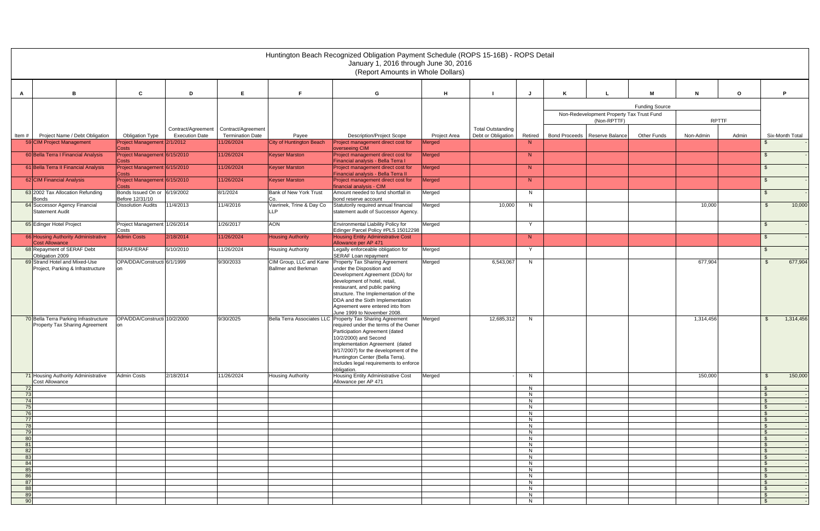|                 |                                                                         |                                                                                |                                       |                                   | Huntington Beach Recognized Obligation Payment Schedule (ROPS 15-16B) - ROPS Detail<br>January 1, 2016 through June 30, 2016<br>(Report Amounts in Whole Dollars)                                                                                                                                                                      |                               |                          |              |   |                                           |                       |              |              |                                  |
|-----------------|-------------------------------------------------------------------------|--------------------------------------------------------------------------------|---------------------------------------|-----------------------------------|----------------------------------------------------------------------------------------------------------------------------------------------------------------------------------------------------------------------------------------------------------------------------------------------------------------------------------------|-------------------------------|--------------------------|--------------|---|-------------------------------------------|-----------------------|--------------|--------------|----------------------------------|
| A               | в                                                                       | $\mathbf{c}$<br>D                                                              | E                                     | F.                                | G                                                                                                                                                                                                                                                                                                                                      | H                             |                          | J            | K |                                           | м                     | $\mathbf N$  | $\mathbf{o}$ | P                                |
|                 |                                                                         |                                                                                |                                       |                                   |                                                                                                                                                                                                                                                                                                                                        |                               |                          |              |   |                                           |                       |              |              |                                  |
|                 |                                                                         |                                                                                |                                       |                                   |                                                                                                                                                                                                                                                                                                                                        |                               |                          |              |   | Non-Redevelopment Property Tax Trust Fund | <b>Funding Source</b> |              |              |                                  |
|                 |                                                                         |                                                                                |                                       |                                   |                                                                                                                                                                                                                                                                                                                                        |                               |                          |              |   | (Non-RPTTF)                               |                       | <b>RPTTF</b> |              |                                  |
|                 |                                                                         | Contract/Agreement                                                             | Contract/Agreement                    |                                   |                                                                                                                                                                                                                                                                                                                                        |                               | <b>Total Outstanding</b> |              |   |                                           |                       |              |              |                                  |
| Item#           | Project Name / Debt Obligation<br>59 CIM Project Management             | <b>Execution Date</b><br><b>Obligation Type</b><br>Project Management 2/1/2012 | <b>Termination Date</b><br>11/26/2024 | Payee<br>City of Huntington Beach | <b>Description/Project Scope</b><br>Project management direct cost for                                                                                                                                                                                                                                                                 | <b>Project Area</b><br>Merged | Debt or Obligation       | Retired<br>N |   | Bond Proceeds   Reserve Balance           | <b>Other Funds</b>    | Non-Admin    | Admin        | Six-Month Total<br>- S           |
|                 | 60 Bella Terra I Financial Analysis                                     | Costs<br>Project Management 6/15/2010                                          | 11/26/2024                            | <b>Keyser Marston</b>             | overseeing CIM<br>Project management direct cost for                                                                                                                                                                                                                                                                                   | Merged                        |                          | N            |   |                                           |                       |              |              | - \$                             |
|                 |                                                                         | <b>Costs</b>                                                                   |                                       |                                   | Financial analysis - Bella Terra I                                                                                                                                                                                                                                                                                                     |                               |                          |              |   |                                           |                       |              |              |                                  |
|                 | 61 Bella Terra II Financial Analysis                                    | Project Management 6/15/2010<br><b>Costs</b>                                   | 11/26/2024                            | <b>Keyser Marston</b>             | Project management direct cost for<br>Financial analysis - Bella Terra II                                                                                                                                                                                                                                                              | Merged                        |                          | N            |   |                                           |                       |              |              | - \$                             |
|                 | 62 CIM Financial Analysis                                               | Project Management 6/15/2010<br>Costs                                          | 11/26/2024                            | <b>Keyser Marston</b>             | Project management direct cost for<br>financial analysis - CIM                                                                                                                                                                                                                                                                         | Merged                        |                          | N            |   |                                           |                       |              |              | -\$                              |
|                 | 63 2002 Tax Allocation Refunding                                        | Bonds Issued On or 6/19/2002                                                   | 8/1/2024                              | Bank of New York Trust            | Amount needed to fund shortfall in                                                                                                                                                                                                                                                                                                     | Merged                        |                          | N            |   |                                           |                       |              |              | <b>S</b>                         |
|                 | <b>Bonds</b><br>64 Successor Agency Financial                           | Before 12/31/10<br>11/4/2013<br><b>Dissolution Audits</b>                      | 11/4/2016                             | Co.<br>Vavrinek, Trine & Day Co   | bond reserve account<br>Statutorily required annual financial                                                                                                                                                                                                                                                                          | Merged                        | 10,000                   | N            |   |                                           |                       | 10,000       |              | 10,000<br>- \$                   |
|                 | Statement Audit                                                         |                                                                                |                                       | <b>LLP</b>                        | statement audit of Successor Agency.                                                                                                                                                                                                                                                                                                   |                               |                          |              |   |                                           |                       |              |              |                                  |
|                 | 65 Edinger Hotel Project                                                | Project Management 1/26/2014<br>Costs                                          | 1/26/2017                             | <b>AON</b>                        | Environmental Liability Policy for<br>Edinger Parcel Policy #PLS 15012298                                                                                                                                                                                                                                                              | Merged                        |                          | $\mathsf{Y}$ |   |                                           |                       |              |              | - \$                             |
|                 | 66 Housing Authority Administrative<br>Cost Allowance                   | <b>Admin Costs</b><br>2/18/2014                                                | 11/26/2024                            | <b>Housing Authority</b>          | <b>Housing Entity Administrative Cost</b>                                                                                                                                                                                                                                                                                              |                               |                          | N            |   |                                           |                       |              |              | \$                               |
|                 | 68 Repayment of SERAF Debt<br>Obligation 2009                           | SERAF/ERAF<br>5/10/2010                                                        | 11/26/2024                            | <b>Housing Authority</b>          | Allowance per AP 471<br>Legally enforceable obligation for<br>SERAF Loan repayment                                                                                                                                                                                                                                                     | Merged                        |                          | Y.           |   |                                           |                       |              |              | \$                               |
|                 | 69 Strand Hotel and Mixed-Use                                           | OPA/DDA/Constructi 6/1/1999                                                    | 9/30/2033                             | CIM Group, LLC and Kane           | Property Tax Sharing Agreement                                                                                                                                                                                                                                                                                                         | Merged                        | 6,543,067                | N            |   |                                           |                       | 677,904      |              | 677,904<br>- \$                  |
|                 | Project, Parking & Infrastructure                                       |                                                                                |                                       | <b>Ballmer and Berkman</b>        | under the Disposition and<br>Development Agreement (DDA) for<br>development of hotel, retail,<br>restaurant, and public parking<br>structure. The Implementation of the<br>DDA and the Sixth Implementation<br>Agreement were entered into from<br>June 1999 to November 2008.                                                         |                               |                          |              |   |                                           |                       |              |              |                                  |
|                 | 70 Bella Terra Parking Infrastructure<br>Property Tax Sharing Agreement | OPA/DDA/Constructi 10/2/2000                                                   | 9/30/2025                             |                                   | Bella Terra Associates LLC Property Tax Sharing Agreement<br>required under the terms of the Owner<br>Participation Agreement (dated<br>10/2/2000) and Second<br>Implementation Agreement (dated<br>9/17/2007) for the development of the<br>Huntington Center (Bella Terra).<br>Includes legal requirements to enforce<br>obligation. | Merged                        | 12,685,312               | N            |   |                                           |                       | 1,314,456    |              | 1,314,456<br>- \$                |
|                 | 71 Housing Authority Administrative<br>Cost Allowance                   | <b>Admin Costs</b><br>2/18/2014                                                | 11/26/2024                            | <b>Housing Authority</b>          | Housing Entity Administrative Cost<br>Allowance per AP 471                                                                                                                                                                                                                                                                             | Merged                        |                          | N            |   |                                           |                       | 150,000      |              | 150,000<br>- \$                  |
| <b>72</b><br>73 |                                                                         |                                                                                |                                       |                                   |                                                                                                                                                                                                                                                                                                                                        |                               |                          | N<br>N       |   |                                           |                       |              |              | - \$<br>\$                       |
| 74              |                                                                         |                                                                                |                                       |                                   |                                                                                                                                                                                                                                                                                                                                        |                               |                          | N            |   |                                           |                       |              |              | \$                               |
| 75<br>76        |                                                                         |                                                                                |                                       |                                   |                                                                                                                                                                                                                                                                                                                                        |                               |                          | N<br>N       |   |                                           |                       |              |              | $\mathfrak{S}$<br>$\mathfrak{F}$ |
| 77<br>78        |                                                                         |                                                                                |                                       |                                   |                                                                                                                                                                                                                                                                                                                                        |                               |                          | N<br>N       |   |                                           |                       |              |              | $\mathbb{S}$<br>$\mathbb{S}$     |
| 79              |                                                                         |                                                                                |                                       |                                   |                                                                                                                                                                                                                                                                                                                                        |                               |                          | N            |   |                                           |                       |              |              | $\mathbb{S}$                     |
| 80<br>81        |                                                                         |                                                                                |                                       |                                   |                                                                                                                                                                                                                                                                                                                                        |                               |                          | N<br>N       |   |                                           |                       |              |              | \$<br>- S                        |
| 82              |                                                                         |                                                                                |                                       |                                   |                                                                                                                                                                                                                                                                                                                                        |                               |                          | N            |   |                                           |                       |              |              | $\mathfrak{F}$                   |
| 83<br>84        |                                                                         |                                                                                |                                       |                                   |                                                                                                                                                                                                                                                                                                                                        |                               |                          | N<br>N       |   |                                           |                       |              |              | $\mathfrak{F}$<br>$\mathfrak{S}$ |
| 85<br>86        |                                                                         |                                                                                |                                       |                                   |                                                                                                                                                                                                                                                                                                                                        |                               |                          | N<br>N.      |   |                                           |                       |              |              | \$<br>\$                         |
| 87              |                                                                         |                                                                                |                                       |                                   |                                                                                                                                                                                                                                                                                                                                        |                               |                          | N            |   |                                           |                       |              |              | - \$                             |
| 88<br>89        |                                                                         |                                                                                |                                       |                                   |                                                                                                                                                                                                                                                                                                                                        |                               |                          | N<br>N       |   |                                           |                       |              |              | \$<br>- \$                       |
| 90              |                                                                         |                                                                                |                                       |                                   |                                                                                                                                                                                                                                                                                                                                        |                               |                          | N            |   |                                           |                       |              |              | $\mathcal{L}$                    |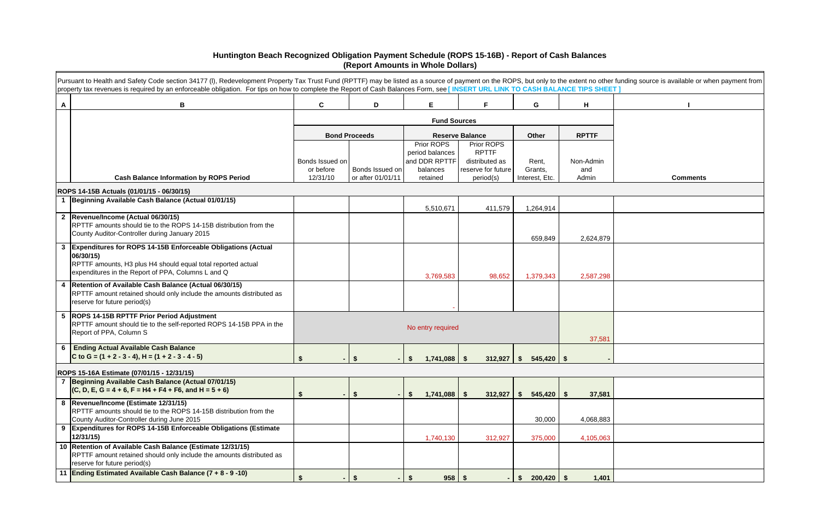|                | Pursuant to Health and Safety Code section 34177 (I), Redevelopment Property Tax Trust Fund (RPTTF) may be listed as a source of payment on the ROPS, but only to the extent no other funding source is available or when paym<br>property tax revenues is required by an enforceable obligation. For tips on how to complete the Report of Cash Balances Form, see [INSERT URL LINK TO CASH BALANCE TIPS SHEET] |                              |                           |                                |                                      |                          |                  |                 |
|----------------|------------------------------------------------------------------------------------------------------------------------------------------------------------------------------------------------------------------------------------------------------------------------------------------------------------------------------------------------------------------------------------------------------------------|------------------------------|---------------------------|--------------------------------|--------------------------------------|--------------------------|------------------|-----------------|
| $\mathsf{A}$   | B                                                                                                                                                                                                                                                                                                                                                                                                                | C                            | D                         | E                              | E                                    | G                        | н                |                 |
|                |                                                                                                                                                                                                                                                                                                                                                                                                                  |                              |                           | <b>Fund Sources</b>            |                                      |                          |                  |                 |
|                |                                                                                                                                                                                                                                                                                                                                                                                                                  |                              | <b>Bond Proceeds</b>      |                                | <b>Reserve Balance</b>               | Other                    | <b>RPTTF</b>     |                 |
|                |                                                                                                                                                                                                                                                                                                                                                                                                                  |                              |                           | Prior ROPS<br>period balances  | Prior ROPS<br><b>RPTTF</b>           |                          |                  |                 |
|                |                                                                                                                                                                                                                                                                                                                                                                                                                  | Bonds Issued on<br>or before | Bonds Issued on           | and DDR RPTTF<br>balances      | distributed as<br>reserve for future | Rent,<br>Grants,         | Non-Admin<br>and |                 |
|                | <b>Cash Balance Information by ROPS Period</b>                                                                                                                                                                                                                                                                                                                                                                   | 12/31/10                     | or after 01/01/11         | retained                       | period(s)                            | Interest, Etc.           | Admin            | <b>Comments</b> |
|                | ROPS 14-15B Actuals (01/01/15 - 06/30/15)                                                                                                                                                                                                                                                                                                                                                                        |                              |                           |                                |                                      |                          |                  |                 |
| $\overline{1}$ | Beginning Available Cash Balance (Actual 01/01/15)                                                                                                                                                                                                                                                                                                                                                               |                              |                           |                                |                                      |                          |                  |                 |
|                | 2  Revenue/Income (Actual 06/30/15)                                                                                                                                                                                                                                                                                                                                                                              |                              |                           | 5,510,671                      | 411,579                              | 1,264,914                |                  |                 |
|                | RPTTF amounts should tie to the ROPS 14-15B distribution from the                                                                                                                                                                                                                                                                                                                                                |                              |                           |                                |                                      |                          |                  |                 |
|                | County Auditor-Controller during January 2015                                                                                                                                                                                                                                                                                                                                                                    |                              |                           |                                |                                      | 659,849                  | 2,624,879        |                 |
| $\mathbf{3}$   | Expenditures for ROPS 14-15B Enforceable Obligations (Actual<br>06/30/15)                                                                                                                                                                                                                                                                                                                                        |                              |                           |                                |                                      |                          |                  |                 |
|                | RPTTF amounts, H3 plus H4 should equal total reported actual                                                                                                                                                                                                                                                                                                                                                     |                              |                           |                                |                                      |                          |                  |                 |
|                | expenditures in the Report of PPA, Columns L and Q                                                                                                                                                                                                                                                                                                                                                               |                              |                           | 3,769,583                      | 98,652                               | 1,379,343                | 2,587,298        |                 |
| 4              | Retention of Available Cash Balance (Actual 06/30/15)<br>RPTTF amount retained should only include the amounts distributed as                                                                                                                                                                                                                                                                                    |                              |                           |                                |                                      |                          |                  |                 |
|                | reserve for future period(s)                                                                                                                                                                                                                                                                                                                                                                                     |                              |                           |                                |                                      |                          |                  |                 |
|                | 5  ROPS 14-15B RPTTF Prior Period Adjustment                                                                                                                                                                                                                                                                                                                                                                     |                              |                           |                                |                                      |                          |                  |                 |
|                | RPTTF amount should tie to the self-reported ROPS 14-15B PPA in the<br>Report of PPA, Column S                                                                                                                                                                                                                                                                                                                   |                              |                           | No entry required              |                                      |                          |                  |                 |
| 6              | <b>Ending Actual Available Cash Balance</b>                                                                                                                                                                                                                                                                                                                                                                      |                              |                           |                                |                                      |                          | 37,581           |                 |
|                | C to G = $(1 + 2 - 3 - 4)$ , H = $(1 + 2 - 3 - 4 - 5)$                                                                                                                                                                                                                                                                                                                                                           | S.                           | -\$                       | 1,741,088<br>S.                | 312,927<br>- \$                      | $545,420$ \$<br>S.       |                  |                 |
|                | ROPS 15-16A Estimate (07/01/15 - 12/31/15)                                                                                                                                                                                                                                                                                                                                                                       |                              |                           |                                |                                      |                          |                  |                 |
|                | 7 Beginning Available Cash Balance (Actual 07/01/15)                                                                                                                                                                                                                                                                                                                                                             |                              |                           |                                |                                      |                          |                  |                 |
|                | $(C, D, E, G = 4 + 6, F = H4 + F4 + F6, and H = 5 + 6)$                                                                                                                                                                                                                                                                                                                                                          | \$<br>۰.                     | $\boldsymbol{\hat{\ast}}$ | 1,741,088<br>S                 | $\sqrt{5}$<br>312,927                | $545,420$ \$<br><b>S</b> | 37,581           |                 |
|                | 8  Revenue/Income (Estimate 12/31/15)<br>RPTTF amounts should tie to the ROPS 14-15B distribution from the                                                                                                                                                                                                                                                                                                       |                              |                           |                                |                                      |                          |                  |                 |
|                | County Auditor-Controller during June 2015                                                                                                                                                                                                                                                                                                                                                                       |                              |                           |                                |                                      | 30,000                   | 4,068,883        |                 |
| 9              | <b>Expenditures for ROPS 14-15B Enforceable Obligations (Estimate</b><br>12/31/15                                                                                                                                                                                                                                                                                                                                |                              |                           | 1,740,130                      | 312,927                              | 375,000                  | 4,105,063        |                 |
|                | 10 Retention of Available Cash Balance (Estimate 12/31/15)                                                                                                                                                                                                                                                                                                                                                       |                              |                           |                                |                                      |                          |                  |                 |
|                | RPTTF amount retained should only include the amounts distributed as<br>reserve for future period(s)                                                                                                                                                                                                                                                                                                             |                              |                           |                                |                                      |                          |                  |                 |
| 11             | Ending Estimated Available Cash Balance (7 + 8 - 9 -10)                                                                                                                                                                                                                                                                                                                                                          | $$^{\circ}$                  | \$                        | $958$ \$<br>$\mathbf{\hat{s}}$ |                                      | $-$ \$ 200,420 \$        | 1,401            |                 |

## **Huntington Beach Recognized Obligation Payment Schedule (ROPS 15-16B) - Report of Cash Balances (Report Amounts in Whole Dollars)**

| IEET ] | ther funding source is available or when payment from |
|--------|-------------------------------------------------------|
|        | $\mathbf I$                                           |
|        |                                                       |
|        |                                                       |
|        |                                                       |
| Ì      |                                                       |
|        | <b>Comments</b>                                       |
|        |                                                       |
|        |                                                       |
|        |                                                       |
| 79     |                                                       |
|        |                                                       |
| 98     |                                                       |
|        |                                                       |
|        |                                                       |
|        |                                                       |
| 81     |                                                       |
|        |                                                       |
|        |                                                       |
|        |                                                       |
| 81     |                                                       |
| 83     |                                                       |
|        |                                                       |
| 63     |                                                       |
|        |                                                       |
| 01     |                                                       |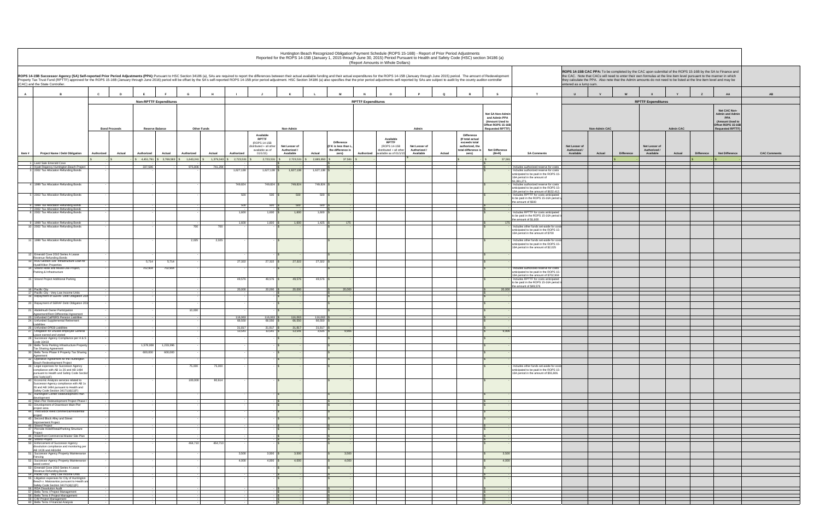|              |                                                                                                                                                                                                                                                                   |                              |            |                               |                    |                        |                                                                                                    |                                            |                 |                                                                          | Huntington Beach Recognized Obligation Payment Schedule (ROPS 15-16B) - Report of Prior Period Adjustments<br>Reported for the ROPS 14-15B (January 1, 2015 through June 30, 2015) Period Pursuant to Health and Safety Code (HSC) section 34186 (a)<br>(Report Amounts in Whole Dollars) |                                            |        |                                                                                                    |                                                                            |                                                                                                                                                   |                                            |                      |                   |                                                                                                                                                                                                                                                                                                                                                           |                  |                   |                                                                                               |                |
|--------------|-------------------------------------------------------------------------------------------------------------------------------------------------------------------------------------------------------------------------------------------------------------------|------------------------------|------------|-------------------------------|--------------------|------------------------|----------------------------------------------------------------------------------------------------|--------------------------------------------|-----------------|--------------------------------------------------------------------------|-------------------------------------------------------------------------------------------------------------------------------------------------------------------------------------------------------------------------------------------------------------------------------------------|--------------------------------------------|--------|----------------------------------------------------------------------------------------------------|----------------------------------------------------------------------------|---------------------------------------------------------------------------------------------------------------------------------------------------|--------------------------------------------|----------------------|-------------------|-----------------------------------------------------------------------------------------------------------------------------------------------------------------------------------------------------------------------------------------------------------------------------------------------------------------------------------------------------------|------------------|-------------------|-----------------------------------------------------------------------------------------------|----------------|
|              | ROPS 14-15B Successor Agency (SA) Self-reported Prior Period Adjustments (PPA): Pursuant to HSC Section 34186 (a), SAs are required to report the differences between their actual available funding and their actual expendit<br>(CAC) and the State Controller. |                              |            |                               |                    |                        |                                                                                                    |                                            |                 |                                                                          |                                                                                                                                                                                                                                                                                           |                                            |        |                                                                                                    |                                                                            |                                                                                                                                                   | entered as a lump sum.                     |                      |                   | ROPS 14-15B CAC PPA: To be completed by the CAC upon submittal of the ROPS 15-16B by the SA to Finance and<br>the CAC. Note that CACs will need to enter their own formulas at the line item level pursuant to the manner in which<br>they calculate the PPA. Also note that the Admin amounts do not need to be listed at the line item level and may be |                  |                   |                                                                                               |                |
| $\mathbf{A}$ | в                                                                                                                                                                                                                                                                 | $\mathbf{c}$<br>$\mathbf{D}$ |            |                               | G                  |                        |                                                                                                    |                                            |                 |                                                                          |                                                                                                                                                                                                                                                                                           |                                            | Q      |                                                                                                    | s                                                                          | T                                                                                                                                                 | U                                          |                      |                   |                                                                                                                                                                                                                                                                                                                                                           | Y                | z                 | AA                                                                                            | AB             |
|              |                                                                                                                                                                                                                                                                   |                              |            | <b>Non-RPTTF Expenditures</b> |                    |                        |                                                                                                    |                                            |                 |                                                                          | <b>RPTTF Expenditures</b>                                                                                                                                                                                                                                                                 |                                            |        |                                                                                                    |                                                                            |                                                                                                                                                   |                                            |                      |                   | <b>RPTTF Expenditures</b>                                                                                                                                                                                                                                                                                                                                 |                  |                   |                                                                                               |                |
|              |                                                                                                                                                                                                                                                                   |                              |            |                               |                    |                        |                                                                                                    |                                            |                 |                                                                          |                                                                                                                                                                                                                                                                                           |                                            |        |                                                                                                    | Net SA Non-Admin<br>and Admin PPA<br>(Amount Used to<br>Offset ROPS 15-16B |                                                                                                                                                   |                                            |                      |                   |                                                                                                                                                                                                                                                                                                                                                           |                  |                   | Net CAC Non-<br><b>Admin and Admin</b><br><b>PPA</b><br>(Amount Used to<br>Offset ROPS 15-16B |                |
|              |                                                                                                                                                                                                                                                                   | <b>Bond Proceeds</b>         |            | <b>Reserve Balance</b>        | <b>Other Funds</b> |                        |                                                                                                    | Non-Admin                                  |                 |                                                                          |                                                                                                                                                                                                                                                                                           | Admin                                      |        |                                                                                                    | <b>Requested RPTTF)</b>                                                    |                                                                                                                                                   |                                            | <b>Non-Admin CAC</b> |                   |                                                                                                                                                                                                                                                                                                                                                           | <b>Admin CAC</b> |                   | <b>Requested RPTTF)</b>                                                                       |                |
| Item#        | <b>Project Name / Debt Obligation</b>                                                                                                                                                                                                                             | Authorized<br>Actual         | Authorized | Actual                        | Authorized         | Actual<br>Authorized   | Available<br><b>RPTTF</b><br>(ROPS 14-15B<br>distributed + all other<br>available as of<br>01/1/15 | Net Lesser of<br>Authorized /<br>Available | Actual          | <b>Difference</b><br>(If K is less than L,<br>the difference is<br>zero) | Available<br><b>RPTTF</b><br>(ROPS 14-15B<br>distributed + all other<br>Authorized<br>vailable as of 01/1/15                                                                                                                                                                              | Net Lesser of<br>Authorized /<br>Available | Actual | Difference<br>(If total actual<br>exceeds total<br>authorized, the<br>total difference is<br>zero) | <b>Net Difference</b><br>$(M+R)$                                           | <b>SA Comments</b>                                                                                                                                | Net Lesser of<br>Authorized /<br>Available | Actual               | <b>Difference</b> | Net Lesser of<br>Authorized /<br>Available                                                                                                                                                                                                                                                                                                                | Actual           | <b>Difference</b> | <b>Net Difference</b>                                                                         | <b>CAC Com</b> |
|              |                                                                                                                                                                                                                                                                   |                              |            |                               | 1,643,241          | 1,379,343<br>2,723,531 | 2,723,531                                                                                          | 2,723,531                                  | 2,685,950       | 37,581                                                                   |                                                                                                                                                                                                                                                                                           |                                            |        |                                                                                                    | 37,581                                                                     |                                                                                                                                                   |                                            |                      |                   |                                                                                                                                                                                                                                                                                                                                                           |                  |                   |                                                                                               |                |
|              | Land Sale Emerald Cove<br>2 Hyatt Regency Huntington Beach Project                                                                                                                                                                                                |                              | 337,596    |                               | 975,806            | 741,294                |                                                                                                    |                                            |                 |                                                                          |                                                                                                                                                                                                                                                                                           |                                            |        |                                                                                                    |                                                                            | ncludes authorized reserve for costs                                                                                                              |                                            |                      |                   |                                                                                                                                                                                                                                                                                                                                                           |                  |                   |                                                                                               |                |
|              | 3 2002 Tax Allocation Refunding Bonds                                                                                                                                                                                                                             |                              |            |                               |                    | 1,627,138              | $1,627,138$ \$                                                                                     | 1,627,138                                  | 1,627,138       |                                                                          |                                                                                                                                                                                                                                                                                           |                                            |        |                                                                                                    |                                                                            | Includes authorized reserve for costs<br>anticipated to be paid in the ROPS 15-<br>16A period in the amount of<br>\$1,391,271.                    |                                            |                      |                   |                                                                                                                                                                                                                                                                                                                                                           |                  |                   |                                                                                               |                |
|              | 4 1999 Tax Allocation Refunding Bonds                                                                                                                                                                                                                             |                              |            |                               |                    | 749,824                | 749,824 \$                                                                                         | 749,824                                    | 749,824         |                                                                          |                                                                                                                                                                                                                                                                                           |                                            |        |                                                                                                    |                                                                            | Includes authorized reserve for costs<br>anticipated to be paid in the ROPS 15-<br>16A period in the amount of \$632,412.                         |                                            |                      |                   |                                                                                                                                                                                                                                                                                                                                                           |                  |                   |                                                                                               |                |
|              | 5 2002 Tax Allocation Refunding Bonds                                                                                                                                                                                                                             |                              |            |                               |                    |                        | 500<br>500S                                                                                        | 500                                        | 500S            |                                                                          |                                                                                                                                                                                                                                                                                           |                                            |        |                                                                                                    |                                                                            | Includes RPTTF for costs anticipated<br>to be paid in the ROPS 15-16A period in                                                                   |                                            |                      |                   |                                                                                                                                                                                                                                                                                                                                                           |                  |                   |                                                                                               |                |
|              | 1999 Tax Allocation Refunding Bonds                                                                                                                                                                                                                               |                              |            |                               |                    |                        | 500<br>500                                                                                         |                                            | 500             |                                                                          |                                                                                                                                                                                                                                                                                           |                                            |        |                                                                                                    |                                                                            | the amount of \$500                                                                                                                               |                                            |                      |                   |                                                                                                                                                                                                                                                                                                                                                           |                  |                   |                                                                                               |                |
|              | 7 2002 Tax Allocation Refunding Bonds<br>8 2002 Tax Allocation Refunding Bonds                                                                                                                                                                                    |                              |            |                               |                    |                        | 1,600<br>1,600                                                                                     | 1,600                                      | 1,600           |                                                                          |                                                                                                                                                                                                                                                                                           |                                            |        |                                                                                                    |                                                                            | Includes RPTTF for costs anticipated<br>to be paid in the ROPS 15-16A period in<br>the amount of \$1,600                                          |                                            |                      |                   |                                                                                                                                                                                                                                                                                                                                                           |                  |                   |                                                                                               |                |
|              | 9 1999 Tax Allocation Refunding Bonds<br>10 2002 Tax Allocation Refunding Bonds                                                                                                                                                                                   |                              |            |                               | 700                | 700                    | 1,600<br>$1,600$ \$                                                                                | 1,600                                      | $1,425$ \$      | 175                                                                      |                                                                                                                                                                                                                                                                                           |                                            |        |                                                                                                    |                                                                            | ncludes other funds set-aside for cos                                                                                                             |                                            |                      |                   |                                                                                                                                                                                                                                                                                                                                                           |                  |                   |                                                                                               |                |
|              |                                                                                                                                                                                                                                                                   |                              |            |                               |                    |                        |                                                                                                    |                                            |                 |                                                                          |                                                                                                                                                                                                                                                                                           |                                            |        |                                                                                                    |                                                                            | anticipated to be paid in the ROPS 15-<br>16A period in the amount of \$700                                                                       |                                            |                      |                   |                                                                                                                                                                                                                                                                                                                                                           |                  |                   |                                                                                               |                |
|              | 11 1999 Tax Allocation Refunding Bonds                                                                                                                                                                                                                            |                              |            |                               | 2,025              | 2,025                  |                                                                                                    |                                            |                 |                                                                          |                                                                                                                                                                                                                                                                                           |                                            |        |                                                                                                    |                                                                            | Includes other funds set-aside for costs<br>anticipated to be paid in the ROPS 15-<br>16A period in the amount of \$2,025                         |                                            |                      |                   |                                                                                                                                                                                                                                                                                                                                                           |                  |                   |                                                                                               |                |
|              | 12 Emerald Cove 2010 Series A Lease<br>Revenue Refunding Bonds                                                                                                                                                                                                    |                              |            |                               |                    |                        |                                                                                                    |                                            |                 |                                                                          |                                                                                                                                                                                                                                                                                           |                                            |        |                                                                                                    |                                                                            |                                                                                                                                                   |                                            |                      |                   |                                                                                                                                                                                                                                                                                                                                                           |                  |                   |                                                                                               |                |
|              | 13 HUD Section 108 Infrastructure Loan for<br><b>Hyatt/Hilton Properties</b>                                                                                                                                                                                      |                              | 5,714      | 5,714                         |                    | 27,322                 | $27,322$ \$                                                                                        | 27,322                                     | $27,322$ \$     |                                                                          |                                                                                                                                                                                                                                                                                           |                                            |        |                                                                                                    |                                                                            |                                                                                                                                                   |                                            |                      |                   |                                                                                                                                                                                                                                                                                                                                                           |                  |                   |                                                                                               |                |
|              | Strand Hotel and Mixed-Use Project,<br>Parking & Infrastructure                                                                                                                                                                                                   |                              | 702,904    | 702,904                       |                    |                        |                                                                                                    |                                            |                 |                                                                          |                                                                                                                                                                                                                                                                                           |                                            |        |                                                                                                    |                                                                            | Includes authorized reserve for costs<br>anticipated to be paid in the ROPS 15-                                                                   |                                            |                      |                   |                                                                                                                                                                                                                                                                                                                                                           |                  |                   |                                                                                               |                |
|              | 15 Strand Project Additional Parking                                                                                                                                                                                                                              |                              |            |                               |                    | 49,576                 | $49,576$ \$                                                                                        | 49,576                                     | 49,576          |                                                                          |                                                                                                                                                                                                                                                                                           |                                            |        |                                                                                                    |                                                                            | 16A period in the amount of \$702,904<br>Includes RPTTF for costs anticipated<br>to be paid in the ROPS 15-16A period i<br>the amount of \$49,576 |                                            |                      |                   |                                                                                                                                                                                                                                                                                                                                                           |                  |                   |                                                                                               |                |
|              | Pacific City<br>Pacific City - Very Low Income Units                                                                                                                                                                                                              |                              |            |                               |                    | 20,000                 | $20,000$ :                                                                                         | 20,000                                     |                 | 20,000                                                                   |                                                                                                                                                                                                                                                                                           |                                            |        |                                                                                                    | 20,00                                                                      |                                                                                                                                                   |                                            |                      |                   |                                                                                                                                                                                                                                                                                                                                                           |                  |                   |                                                                                               |                |
|              | 19 Repayment of SERAF Debt Obligation 200                                                                                                                                                                                                                         |                              |            |                               |                    |                        |                                                                                                    |                                            |                 |                                                                          |                                                                                                                                                                                                                                                                                           |                                            |        |                                                                                                    |                                                                            |                                                                                                                                                   |                                            |                      |                   |                                                                                                                                                                                                                                                                                                                                                           |                  |                   |                                                                                               |                |
|              | 20 Repayment of SERAF Debt Obligation 20                                                                                                                                                                                                                          |                              |            |                               |                    |                        |                                                                                                    |                                            |                 |                                                                          |                                                                                                                                                                                                                                                                                           |                                            |        |                                                                                                    |                                                                            |                                                                                                                                                   |                                            |                      |                   |                                                                                                                                                                                                                                                                                                                                                           |                  |                   |                                                                                               |                |
|              | Abdelmudi Owner Participation<br>Agreement/Rent Differential Agreement<br>23 Unfunded CalPERS Pension Liabilities                                                                                                                                                 |                              |            |                               | 10,000             | 116,063                | 116,063                                                                                            | 116,063                                    | 116,063         |                                                                          |                                                                                                                                                                                                                                                                                           |                                            |        |                                                                                                    |                                                                            |                                                                                                                                                   |                                            |                      |                   |                                                                                                                                                                                                                                                                                                                                                           |                  |                   |                                                                                               |                |
|              | Unfunded Supplemental Retirement                                                                                                                                                                                                                                  |                              |            |                               |                    | 66,550                 | 66,550                                                                                             | 66,550                                     | 66,550          |                                                                          |                                                                                                                                                                                                                                                                                           |                                            |        |                                                                                                    |                                                                            |                                                                                                                                                   |                                            |                      |                   |                                                                                                                                                                                                                                                                                                                                                           |                  |                   |                                                                                               |                |
|              | 26 Unfunded OPEB Liabilities<br>Obligation for unused employee General                                                                                                                                                                                            |                              |            |                               |                    | 31,817<br>13,541       | $31,817$ :<br>13,541                                                                               | 31,817<br>13,541                           | 31,817<br>3,635 | 9,906                                                                    |                                                                                                                                                                                                                                                                                           |                                            |        |                                                                                                    | 9,906                                                                      |                                                                                                                                                   |                                            |                      |                   |                                                                                                                                                                                                                                                                                                                                                           |                  |                   |                                                                                               |                |
|              | eave earned and vested<br>Successor Agency Compliance per H & S                                                                                                                                                                                                   |                              |            |                               |                    |                        |                                                                                                    |                                            |                 |                                                                          |                                                                                                                                                                                                                                                                                           |                                            |        |                                                                                                    |                                                                            |                                                                                                                                                   |                                            |                      |                   |                                                                                                                                                                                                                                                                                                                                                           |                  |                   |                                                                                               |                |
|              | Code 33433<br>Bella Terra Parking Infrastructure Propert                                                                                                                                                                                                          |                              | 1,578,008  | 1,233,396                     |                    |                        |                                                                                                    |                                            |                 |                                                                          |                                                                                                                                                                                                                                                                                           |                                            |        |                                                                                                    |                                                                            |                                                                                                                                                   |                                            |                      |                   |                                                                                                                                                                                                                                                                                                                                                           |                  |                   |                                                                                               |                |
|              | <b>Tax Sharing Agreement</b><br>30 Bella Terra Phase II Property Tax Sharing                                                                                                                                                                                      |                              | 600,000    | 600,000                       |                    |                        |                                                                                                    |                                            |                 |                                                                          |                                                                                                                                                                                                                                                                                           |                                            |        |                                                                                                    |                                                                            |                                                                                                                                                   |                                            |                      |                   |                                                                                                                                                                                                                                                                                                                                                           |                  |                   |                                                                                               |                |
|              | Agreement<br>32 Operative Agreement for the Huntington                                                                                                                                                                                                            |                              |            |                               |                    |                        |                                                                                                    |                                            |                 |                                                                          |                                                                                                                                                                                                                                                                                           |                                            |        |                                                                                                    |                                                                            |                                                                                                                                                   |                                            |                      |                   |                                                                                                                                                                                                                                                                                                                                                           |                  |                   |                                                                                               |                |
|              | Beach Redevelopment Project<br>39 Legal expenses for Successor Agency                                                                                                                                                                                             |                              |            |                               | 75,000             | 75,000                 |                                                                                                    |                                            |                 |                                                                          |                                                                                                                                                                                                                                                                                           |                                            |        |                                                                                                    |                                                                            | Includes other funds set-aside for costs                                                                                                          |                                            |                      |                   |                                                                                                                                                                                                                                                                                                                                                           |                  |                   |                                                                                               |                |
|              | compliance with AB 1x 26 and AB 1484<br>pursuant to Health and Safety Code Section<br>34171(d)(1)(F)                                                                                                                                                              |                              |            |                               |                    |                        |                                                                                                    |                                            |                 |                                                                          |                                                                                                                                                                                                                                                                                           |                                            |        |                                                                                                    |                                                                            | anticipated to be paid in the ROPS 15-<br>16A period in the amount of \$55,606.                                                                   |                                            |                      |                   |                                                                                                                                                                                                                                                                                                                                                           |                  |                   |                                                                                               |                |
|              | 40 Economic Analysis services related to<br>Successor Agency compliance with AB 1x<br>26 and AB 1484 pursuant to Health and                                                                                                                                       |                              |            |                               | 100,000            | 80,614                 |                                                                                                    |                                            |                 |                                                                          |                                                                                                                                                                                                                                                                                           |                                            |        |                                                                                                    |                                                                            |                                                                                                                                                   |                                            |                      |                   |                                                                                                                                                                                                                                                                                                                                                           |                  |                   |                                                                                               |                |
|              | Safety Code Section 34171(d)(1)(F)<br>41 Huntington Center Redevelopment Plan<br>development                                                                                                                                                                      |                              |            |                               |                    |                        |                                                                                                    |                                            |                 |                                                                          |                                                                                                                                                                                                                                                                                           |                                            |        |                                                                                                    |                                                                            |                                                                                                                                                   |                                            |                      |                   |                                                                                                                                                                                                                                                                                                                                                           |                  |                   |                                                                                               |                |
|              | 42 Main-Pier Redevelopment Project Phase I<br>43 Development of Downtown Main-Pier                                                                                                                                                                                |                              |            |                               |                    |                        |                                                                                                    |                                            |                 |                                                                          |                                                                                                                                                                                                                                                                                           |                                            |        |                                                                                                    |                                                                            |                                                                                                                                                   |                                            |                      |                   |                                                                                                                                                                                                                                                                                                                                                           |                  |                   |                                                                                               |                |
|              | project area<br>44 Third Block West commercial/residential                                                                                                                                                                                                        |                              |            |                               |                    |                        |                                                                                                    |                                            |                 |                                                                          |                                                                                                                                                                                                                                                                                           |                                            |        |                                                                                                    |                                                                            |                                                                                                                                                   |                                            |                      |                   |                                                                                                                                                                                                                                                                                                                                                           |                  |                   |                                                                                               |                |
|              | project<br>45 Second Block Alley and Street<br>Improvement Project<br>46 Strand Project                                                                                                                                                                           |                              |            |                               |                    |                        |                                                                                                    |                                            |                 |                                                                          |                                                                                                                                                                                                                                                                                           |                                            |        |                                                                                                    |                                                                            |                                                                                                                                                   |                                            |                      |                   |                                                                                                                                                                                                                                                                                                                                                           |                  |                   |                                                                                               |                |
|              | 47 Pierside Hotel/Retail/Parking Structure<br>Project                                                                                                                                                                                                             |                              |            |                               |                    |                        |                                                                                                    |                                            |                 |                                                                          |                                                                                                                                                                                                                                                                                           |                                            |        |                                                                                                    |                                                                            |                                                                                                                                                   |                                            |                      |                   |                                                                                                                                                                                                                                                                                                                                                           |                  |                   |                                                                                               |                |
|              | 48 Waterfront Commercial Master Site Plan<br>49 Strand Project<br>50 Enforcement of Successor Agency                                                                                                                                                              |                              |            |                               | 464,710            | 464,710                |                                                                                                    |                                            |                 |                                                                          |                                                                                                                                                                                                                                                                                           |                                            |        |                                                                                                    |                                                                            |                                                                                                                                                   |                                            |                      |                   |                                                                                                                                                                                                                                                                                                                                                           |                  |                   |                                                                                               |                |
|              | dissolution compliance and monitoring per<br>AB 1X26 and AB1484                                                                                                                                                                                                   |                              |            |                               |                    |                        |                                                                                                    |                                            |                 |                                                                          |                                                                                                                                                                                                                                                                                           |                                            |        |                                                                                                    |                                                                            |                                                                                                                                                   |                                            |                      |                   |                                                                                                                                                                                                                                                                                                                                                           |                  |                   |                                                                                               |                |
|              | 51 Successor Agency Property Maintenance<br>Fencing                                                                                                                                                                                                               |                              |            |                               |                    | 3,500                  | $3,500$ \$                                                                                         | 3,500                                      |                 | 3,500                                                                    |                                                                                                                                                                                                                                                                                           |                                            |        |                                                                                                    | 3,500                                                                      |                                                                                                                                                   |                                            |                      |                   |                                                                                                                                                                                                                                                                                                                                                           |                  |                   |                                                                                               |                |
|              | 52 Successor Agency Property Maintenance<br>weed control                                                                                                                                                                                                          |                              |            |                               |                    | 4,000                  | $4,000$ \$                                                                                         | 4.000                                      |                 | 4,000                                                                    |                                                                                                                                                                                                                                                                                           |                                            |        |                                                                                                    | 4,000                                                                      |                                                                                                                                                   |                                            |                      |                   |                                                                                                                                                                                                                                                                                                                                                           |                  |                   |                                                                                               |                |
|              | 53 Emerald Cove 2010 Series A Lease<br>Revenue Refunding Bonds                                                                                                                                                                                                    |                              |            |                               |                    |                        |                                                                                                    |                                            |                 |                                                                          |                                                                                                                                                                                                                                                                                           |                                            |        |                                                                                                    |                                                                            |                                                                                                                                                   |                                            |                      |                   |                                                                                                                                                                                                                                                                                                                                                           |                  |                   |                                                                                               |                |
|              | 54 Pacific City - Very Low Income Units<br>55 Litigation expenses for City of Huntington<br>Beach v. Matosantos pursuant to Health an                                                                                                                             |                              |            |                               |                    |                        |                                                                                                    |                                            |                 |                                                                          |                                                                                                                                                                                                                                                                                           |                                            |        |                                                                                                    |                                                                            |                                                                                                                                                   |                                            |                      |                   |                                                                                                                                                                                                                                                                                                                                                           |                  |                   |                                                                                               |                |
|              | Safety Code Section 34171(d)(1)(F)<br>56 RDA Dissolution Audit<br>57 Bella Terra I Project Management                                                                                                                                                             |                              |            |                               |                    |                        |                                                                                                    |                                            |                 |                                                                          |                                                                                                                                                                                                                                                                                           |                                            |        |                                                                                                    |                                                                            |                                                                                                                                                   |                                            |                      |                   |                                                                                                                                                                                                                                                                                                                                                           |                  |                   |                                                                                               |                |
|              | 58 Bella Terra II Project Management<br>59 CIM Project Management                                                                                                                                                                                                 |                              |            |                               |                    |                        |                                                                                                    |                                            |                 |                                                                          |                                                                                                                                                                                                                                                                                           |                                            |        |                                                                                                    |                                                                            |                                                                                                                                                   |                                            |                      |                   |                                                                                                                                                                                                                                                                                                                                                           |                  |                   |                                                                                               |                |
|              | 60 Bella Terra I Financial Analysis                                                                                                                                                                                                                               |                              |            |                               |                    |                        |                                                                                                    |                                            |                 |                                                                          |                                                                                                                                                                                                                                                                                           |                                            |        |                                                                                                    |                                                                            |                                                                                                                                                   |                                            |                      |                   |                                                                                                                                                                                                                                                                                                                                                           |                  |                   |                                                                                               |                |

|                                                                                                                                                   | entered as a lump sum.                     |                      |            | ROPS 14-15B CAC PPA: To be completed by the CAC upon submittal of the ROPS 15-16B by the SA to Finance and<br>the CAC. Note that CACs will need to enter their own formulas at the line item level pursuant to the manner in which<br>they calculate the PPA. Also note that the Admin amounts do not need to be listed at the line item level and may be |                  |                   |                                                                                                                   |                     |
|---------------------------------------------------------------------------------------------------------------------------------------------------|--------------------------------------------|----------------------|------------|-----------------------------------------------------------------------------------------------------------------------------------------------------------------------------------------------------------------------------------------------------------------------------------------------------------------------------------------------------------|------------------|-------------------|-------------------------------------------------------------------------------------------------------------------|---------------------|
| т                                                                                                                                                 | $\sf U$                                    | $\mathsf{v}$         | W          | X                                                                                                                                                                                                                                                                                                                                                         | Y                | $\mathbf{z}$      | AA                                                                                                                | AB                  |
|                                                                                                                                                   |                                            |                      |            | <b>RPTTF Expenditures</b>                                                                                                                                                                                                                                                                                                                                 |                  |                   |                                                                                                                   |                     |
|                                                                                                                                                   |                                            | <b>Non-Admin CAC</b> |            |                                                                                                                                                                                                                                                                                                                                                           | <b>Admin CAC</b> |                   | Net CAC Non-<br><b>Admin and Admin</b><br>PPA<br>(Amount Used to<br>Offset ROPS 15-16B<br><b>Requested RPTTF)</b> |                     |
| <b>SA Comments</b>                                                                                                                                | Net Lesser of<br>Authorized /<br>Available | Actual               | Difference | Net Lesser of<br>Authorized /<br>Available                                                                                                                                                                                                                                                                                                                | Actual           | <b>Difference</b> | Net Difference                                                                                                    | <b>CAC Comments</b> |
| thorized reserve for costs                                                                                                                        |                                            |                      | \$         |                                                                                                                                                                                                                                                                                                                                                           |                  | $\mathbb{S}$      | $\mathbb{S}$                                                                                                      |                     |
| thorized reserve for costs<br>to be paid in the ROPS 15-<br>in the amount of                                                                      |                                            |                      |            |                                                                                                                                                                                                                                                                                                                                                           |                  |                   |                                                                                                                   |                     |
| thorized reserve for costs<br>to be paid in the ROPS 15-<br>in the amount of \$632,412.                                                           |                                            |                      |            |                                                                                                                                                                                                                                                                                                                                                           |                  |                   |                                                                                                                   |                     |
| PTTF for costs anticipated<br>the ROPS 15-16A period in<br>of \$500                                                                               |                                            |                      |            |                                                                                                                                                                                                                                                                                                                                                           |                  |                   |                                                                                                                   |                     |
| PTTF for costs anticipated<br>the ROPS 15-16A period in<br>of \$1,600                                                                             |                                            |                      |            |                                                                                                                                                                                                                                                                                                                                                           |                  |                   |                                                                                                                   |                     |
| her funds set-aside for costs<br>to be paid in the ROPS 15-<br>in the amount of \$700                                                             |                                            |                      |            |                                                                                                                                                                                                                                                                                                                                                           |                  |                   |                                                                                                                   |                     |
| her funds set-aside for costs<br>to be paid in the ROPS 15-<br>in the amount of \$2,025                                                           |                                            |                      |            |                                                                                                                                                                                                                                                                                                                                                           |                  |                   |                                                                                                                   |                     |
|                                                                                                                                                   |                                            |                      |            |                                                                                                                                                                                                                                                                                                                                                           |                  |                   |                                                                                                                   |                     |
| thorized reserve for costs<br>to be paid in the ROPS 15-<br>in the amount of \$702,904<br>PTTF for costs anticipated<br>the ROPS 15-16A period in |                                            |                      |            |                                                                                                                                                                                                                                                                                                                                                           |                  |                   |                                                                                                                   |                     |
| of \$49,576                                                                                                                                       |                                            |                      |            |                                                                                                                                                                                                                                                                                                                                                           |                  |                   |                                                                                                                   |                     |
|                                                                                                                                                   |                                            |                      |            |                                                                                                                                                                                                                                                                                                                                                           |                  |                   |                                                                                                                   |                     |
|                                                                                                                                                   |                                            |                      |            |                                                                                                                                                                                                                                                                                                                                                           |                  |                   |                                                                                                                   |                     |
|                                                                                                                                                   |                                            |                      |            |                                                                                                                                                                                                                                                                                                                                                           |                  |                   |                                                                                                                   |                     |
|                                                                                                                                                   |                                            |                      |            |                                                                                                                                                                                                                                                                                                                                                           |                  |                   |                                                                                                                   |                     |
|                                                                                                                                                   |                                            |                      |            |                                                                                                                                                                                                                                                                                                                                                           |                  |                   |                                                                                                                   |                     |
| her funds set-aside for costs                                                                                                                     |                                            |                      |            |                                                                                                                                                                                                                                                                                                                                                           |                  |                   |                                                                                                                   |                     |
| to be paid in the ROPS 15-<br>in the amount of \$55,606.                                                                                          |                                            |                      |            |                                                                                                                                                                                                                                                                                                                                                           |                  |                   |                                                                                                                   |                     |
|                                                                                                                                                   |                                            |                      |            |                                                                                                                                                                                                                                                                                                                                                           |                  |                   |                                                                                                                   |                     |
|                                                                                                                                                   |                                            |                      |            |                                                                                                                                                                                                                                                                                                                                                           |                  |                   |                                                                                                                   |                     |
|                                                                                                                                                   |                                            |                      |            |                                                                                                                                                                                                                                                                                                                                                           |                  |                   |                                                                                                                   |                     |
|                                                                                                                                                   |                                            |                      |            |                                                                                                                                                                                                                                                                                                                                                           |                  |                   |                                                                                                                   |                     |
|                                                                                                                                                   |                                            |                      |            |                                                                                                                                                                                                                                                                                                                                                           |                  |                   |                                                                                                                   |                     |
|                                                                                                                                                   |                                            |                      |            |                                                                                                                                                                                                                                                                                                                                                           |                  |                   |                                                                                                                   |                     |
|                                                                                                                                                   |                                            |                      |            |                                                                                                                                                                                                                                                                                                                                                           |                  |                   |                                                                                                                   |                     |
|                                                                                                                                                   |                                            |                      |            |                                                                                                                                                                                                                                                                                                                                                           |                  |                   |                                                                                                                   |                     |
|                                                                                                                                                   |                                            |                      |            |                                                                                                                                                                                                                                                                                                                                                           |                  |                   |                                                                                                                   |                     |
|                                                                                                                                                   |                                            |                      |            |                                                                                                                                                                                                                                                                                                                                                           |                  |                   |                                                                                                                   |                     |
|                                                                                                                                                   |                                            |                      |            |                                                                                                                                                                                                                                                                                                                                                           |                  |                   |                                                                                                                   |                     |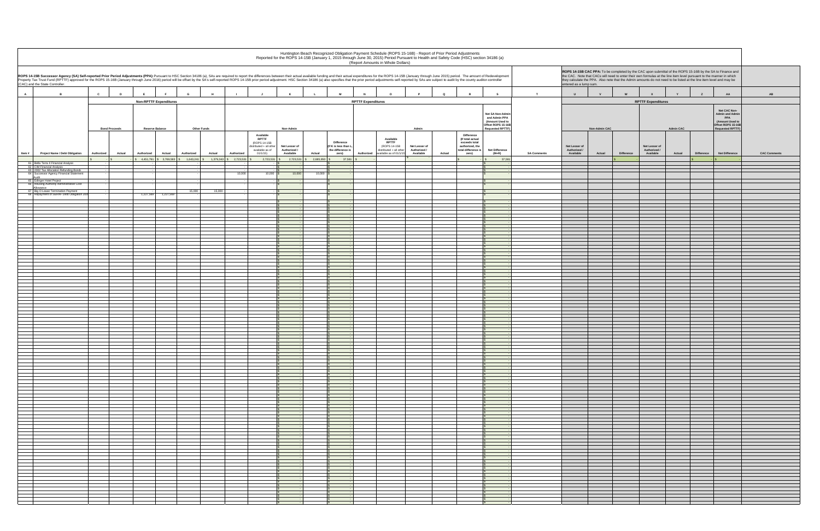|                    | entered as a lump sum.                     |                      |            | ROPS 14-15B CAC PPA: To be completed by the CAC upon submittal of the ROPS 15-16B by the SA to Finance and<br>the CAC. Note that CACs will need to enter their own formulas at the line item level pursuant to the manner in which<br>they calculate the PPA. Also note that the Admin amounts do not need to be listed at the line item level and may be |                  |              |                                                                                                                   |                      |
|--------------------|--------------------------------------------|----------------------|------------|-----------------------------------------------------------------------------------------------------------------------------------------------------------------------------------------------------------------------------------------------------------------------------------------------------------------------------------------------------------|------------------|--------------|-------------------------------------------------------------------------------------------------------------------|----------------------|
| $\mathsf T$        | U                                          | $\mathsf{v}$         | W          | $\pmb{\mathsf{x}}$                                                                                                                                                                                                                                                                                                                                        | Y                | $\mathsf z$  | AA                                                                                                                | $\mathbf A\mathbf B$ |
|                    |                                            |                      |            | <b>RPTTF Expenditures</b>                                                                                                                                                                                                                                                                                                                                 |                  |              |                                                                                                                   |                      |
|                    |                                            | <b>Non-Admin CAC</b> |            |                                                                                                                                                                                                                                                                                                                                                           | <b>Admin CAC</b> |              | Net CAC Non-<br><b>Admin and Admin</b><br>PPA<br>(Amount Used to<br>Offset ROPS 15-16B<br><b>Requested RPTTF)</b> |                      |
| <b>SA Comments</b> | Net Lesser of<br>Authorized /<br>Available | Actual               | Difference | Net Lesser of<br>Authorized /<br>Available                                                                                                                                                                                                                                                                                                                | Actual           | Difference   | Net Difference                                                                                                    | <b>CAC Comments</b>  |
|                    |                                            |                      | \$         |                                                                                                                                                                                                                                                                                                                                                           |                  | $\mathbb{S}$ | $\mathbb S$                                                                                                       |                      |
|                    |                                            |                      |            |                                                                                                                                                                                                                                                                                                                                                           |                  |              |                                                                                                                   |                      |
|                    |                                            |                      |            |                                                                                                                                                                                                                                                                                                                                                           |                  |              |                                                                                                                   |                      |
|                    |                                            |                      |            |                                                                                                                                                                                                                                                                                                                                                           |                  |              |                                                                                                                   |                      |
|                    |                                            |                      |            |                                                                                                                                                                                                                                                                                                                                                           |                  |              |                                                                                                                   |                      |
|                    |                                            |                      |            |                                                                                                                                                                                                                                                                                                                                                           |                  |              |                                                                                                                   |                      |
|                    |                                            |                      |            |                                                                                                                                                                                                                                                                                                                                                           |                  |              |                                                                                                                   |                      |
|                    |                                            |                      |            |                                                                                                                                                                                                                                                                                                                                                           |                  |              |                                                                                                                   |                      |
|                    |                                            |                      |            |                                                                                                                                                                                                                                                                                                                                                           |                  |              |                                                                                                                   |                      |
|                    |                                            |                      |            |                                                                                                                                                                                                                                                                                                                                                           |                  |              |                                                                                                                   |                      |
|                    |                                            |                      |            |                                                                                                                                                                                                                                                                                                                                                           |                  |              |                                                                                                                   |                      |
|                    |                                            |                      |            |                                                                                                                                                                                                                                                                                                                                                           |                  |              |                                                                                                                   |                      |
|                    |                                            |                      |            |                                                                                                                                                                                                                                                                                                                                                           |                  |              |                                                                                                                   |                      |
|                    |                                            |                      |            |                                                                                                                                                                                                                                                                                                                                                           |                  |              |                                                                                                                   |                      |
|                    |                                            |                      |            |                                                                                                                                                                                                                                                                                                                                                           |                  |              |                                                                                                                   |                      |
|                    |                                            |                      |            |                                                                                                                                                                                                                                                                                                                                                           |                  |              |                                                                                                                   |                      |
|                    |                                            |                      |            |                                                                                                                                                                                                                                                                                                                                                           |                  |              |                                                                                                                   |                      |
|                    |                                            |                      |            |                                                                                                                                                                                                                                                                                                                                                           |                  |              |                                                                                                                   |                      |
|                    |                                            |                      |            |                                                                                                                                                                                                                                                                                                                                                           |                  |              |                                                                                                                   |                      |
|                    |                                            |                      |            |                                                                                                                                                                                                                                                                                                                                                           |                  |              |                                                                                                                   |                      |
|                    |                                            |                      |            |                                                                                                                                                                                                                                                                                                                                                           |                  |              |                                                                                                                   |                      |
|                    |                                            |                      |            |                                                                                                                                                                                                                                                                                                                                                           |                  |              |                                                                                                                   |                      |
|                    |                                            |                      |            |                                                                                                                                                                                                                                                                                                                                                           |                  |              |                                                                                                                   |                      |
|                    |                                            |                      |            |                                                                                                                                                                                                                                                                                                                                                           |                  |              |                                                                                                                   |                      |
|                    |                                            |                      |            |                                                                                                                                                                                                                                                                                                                                                           |                  |              |                                                                                                                   |                      |
|                    |                                            |                      |            |                                                                                                                                                                                                                                                                                                                                                           |                  |              |                                                                                                                   |                      |
|                    |                                            |                      |            |                                                                                                                                                                                                                                                                                                                                                           |                  |              |                                                                                                                   |                      |
|                    |                                            |                      |            |                                                                                                                                                                                                                                                                                                                                                           |                  |              |                                                                                                                   |                      |
|                    |                                            |                      |            |                                                                                                                                                                                                                                                                                                                                                           |                  |              |                                                                                                                   |                      |
|                    |                                            |                      |            |                                                                                                                                                                                                                                                                                                                                                           |                  |              |                                                                                                                   |                      |
|                    |                                            |                      |            |                                                                                                                                                                                                                                                                                                                                                           |                  |              |                                                                                                                   |                      |
|                    |                                            |                      |            |                                                                                                                                                                                                                                                                                                                                                           |                  |              |                                                                                                                   |                      |
|                    |                                            |                      |            |                                                                                                                                                                                                                                                                                                                                                           |                  |              |                                                                                                                   |                      |
|                    |                                            |                      |            |                                                                                                                                                                                                                                                                                                                                                           |                  |              |                                                                                                                   |                      |
|                    |                                            |                      |            |                                                                                                                                                                                                                                                                                                                                                           |                  |              |                                                                                                                   |                      |
|                    |                                            |                      |            |                                                                                                                                                                                                                                                                                                                                                           |                  |              |                                                                                                                   |                      |
|                    |                                            |                      |            |                                                                                                                                                                                                                                                                                                                                                           |                  |              |                                                                                                                   |                      |
|                    |                                            |                      |            |                                                                                                                                                                                                                                                                                                                                                           |                  |              |                                                                                                                   |                      |
|                    |                                            |                      |            |                                                                                                                                                                                                                                                                                                                                                           |                  |              |                                                                                                                   |                      |
|                    |                                            |                      |            |                                                                                                                                                                                                                                                                                                                                                           |                  |              |                                                                                                                   |                      |
|                    |                                            |                      |            |                                                                                                                                                                                                                                                                                                                                                           |                  |              |                                                                                                                   |                      |
|                    |                                            |                      |            |                                                                                                                                                                                                                                                                                                                                                           |                  |              |                                                                                                                   |                      |
|                    |                                            |                      |            |                                                                                                                                                                                                                                                                                                                                                           |                  |              |                                                                                                                   |                      |
|                    |                                            |                      |            |                                                                                                                                                                                                                                                                                                                                                           |                  |              |                                                                                                                   |                      |
|                    |                                            |                      |            |                                                                                                                                                                                                                                                                                                                                                           |                  |              |                                                                                                                   |                      |
|                    |                                            |                      |            |                                                                                                                                                                                                                                                                                                                                                           |                  |              |                                                                                                                   |                      |
|                    |                                            |                      |            |                                                                                                                                                                                                                                                                                                                                                           |                  |              |                                                                                                                   |                      |

| G<br>H<br><b>Non-RPTTF Expenditures</b><br><b>Reserve Balance</b><br><b>Other Funds</b><br>Available<br><b>RPTTF</b><br>(ROPS 14-15B<br>distributed + all other<br>available as of<br>Actual<br>Authorized<br>Actual<br>Authorized<br>01/1/15<br>2,723,531 \$<br>10,000<br>$10,000$ \$<br>15,000<br>15,000<br>1,227,569 | Non-Admin<br>Net Lesser of<br>Authorized /<br>Available<br>2,723,531<br>10,000 | <b>Difference</b><br>(If K is less than L,<br>the difference is<br>Actual<br>zero)<br>\$ 2,685,950<br>10,000 | $\circ$<br><b>RPTTF Expenditures</b><br>Available<br><b>RPTTF</b><br>(ROPS 14-15B<br>distributed + all other<br>Authorized<br>vailable as of 01/1/15<br>37,581 | Q<br>Admin<br>Difference<br>(If total actual<br>exceeds total<br>Net Lesser of<br>authorized, the<br>Authorized /<br>total difference is<br>Available<br>Actual<br>zero) | $\mathbf{s}$<br>Net SA Non-Admin<br>and Admin PPA<br>(Amount Used to<br>Offset ROPS 15-16B<br><b>Requested RPTTF)</b><br><b>Net Difference</b><br>$(M+R)$<br>37,58 | T<br><b>SA Comments</b> | $\cup$<br>Net Lesser of<br>Authorized /<br>Available | $\mathbf{v}$<br><b>Non-Admin CAC</b><br>Actual<br><b>Difference</b> | <b>RPTTF Expenditures</b><br>Net Lesser of<br>Authorized /<br>Available | <b>Admin CAC</b><br>Actual | AA<br>z<br>Net CAC Non-<br><b>Admin and Admin</b><br><b>PPA</b><br>(Amount Used to<br>Offset ROPS 15-16B<br><b>Requested RPTTF)</b><br><b>Net Difference</b><br><b>Difference</b> |
|-------------------------------------------------------------------------------------------------------------------------------------------------------------------------------------------------------------------------------------------------------------------------------------------------------------------------|--------------------------------------------------------------------------------|--------------------------------------------------------------------------------------------------------------|----------------------------------------------------------------------------------------------------------------------------------------------------------------|--------------------------------------------------------------------------------------------------------------------------------------------------------------------------|--------------------------------------------------------------------------------------------------------------------------------------------------------------------|-------------------------|------------------------------------------------------|---------------------------------------------------------------------|-------------------------------------------------------------------------|----------------------------|-----------------------------------------------------------------------------------------------------------------------------------------------------------------------------------|
|                                                                                                                                                                                                                                                                                                                         |                                                                                |                                                                                                              |                                                                                                                                                                |                                                                                                                                                                          |                                                                                                                                                                    |                         |                                                      |                                                                     |                                                                         |                            |                                                                                                                                                                                   |
|                                                                                                                                                                                                                                                                                                                         |                                                                                |                                                                                                              |                                                                                                                                                                |                                                                                                                                                                          |                                                                                                                                                                    |                         |                                                      |                                                                     |                                                                         |                            |                                                                                                                                                                                   |
|                                                                                                                                                                                                                                                                                                                         |                                                                                |                                                                                                              |                                                                                                                                                                |                                                                                                                                                                          |                                                                                                                                                                    |                         |                                                      |                                                                     |                                                                         |                            |                                                                                                                                                                                   |
|                                                                                                                                                                                                                                                                                                                         |                                                                                |                                                                                                              |                                                                                                                                                                |                                                                                                                                                                          |                                                                                                                                                                    |                         |                                                      |                                                                     |                                                                         |                            |                                                                                                                                                                                   |
|                                                                                                                                                                                                                                                                                                                         |                                                                                |                                                                                                              |                                                                                                                                                                |                                                                                                                                                                          |                                                                                                                                                                    |                         |                                                      |                                                                     |                                                                         |                            |                                                                                                                                                                                   |
|                                                                                                                                                                                                                                                                                                                         |                                                                                |                                                                                                              |                                                                                                                                                                |                                                                                                                                                                          |                                                                                                                                                                    |                         |                                                      |                                                                     |                                                                         |                            |                                                                                                                                                                                   |
|                                                                                                                                                                                                                                                                                                                         |                                                                                |                                                                                                              |                                                                                                                                                                |                                                                                                                                                                          |                                                                                                                                                                    |                         |                                                      |                                                                     |                                                                         |                            |                                                                                                                                                                                   |
|                                                                                                                                                                                                                                                                                                                         |                                                                                |                                                                                                              |                                                                                                                                                                |                                                                                                                                                                          |                                                                                                                                                                    |                         |                                                      |                                                                     |                                                                         |                            |                                                                                                                                                                                   |
|                                                                                                                                                                                                                                                                                                                         |                                                                                |                                                                                                              |                                                                                                                                                                |                                                                                                                                                                          |                                                                                                                                                                    |                         |                                                      |                                                                     |                                                                         |                            |                                                                                                                                                                                   |
|                                                                                                                                                                                                                                                                                                                         |                                                                                |                                                                                                              |                                                                                                                                                                |                                                                                                                                                                          |                                                                                                                                                                    |                         |                                                      |                                                                     |                                                                         |                            |                                                                                                                                                                                   |
|                                                                                                                                                                                                                                                                                                                         |                                                                                |                                                                                                              |                                                                                                                                                                |                                                                                                                                                                          |                                                                                                                                                                    |                         |                                                      |                                                                     |                                                                         |                            |                                                                                                                                                                                   |
|                                                                                                                                                                                                                                                                                                                         |                                                                                |                                                                                                              |                                                                                                                                                                |                                                                                                                                                                          |                                                                                                                                                                    |                         |                                                      |                                                                     |                                                                         |                            |                                                                                                                                                                                   |
|                                                                                                                                                                                                                                                                                                                         |                                                                                |                                                                                                              |                                                                                                                                                                |                                                                                                                                                                          |                                                                                                                                                                    |                         |                                                      |                                                                     |                                                                         |                            |                                                                                                                                                                                   |
|                                                                                                                                                                                                                                                                                                                         |                                                                                |                                                                                                              |                                                                                                                                                                |                                                                                                                                                                          |                                                                                                                                                                    |                         |                                                      |                                                                     |                                                                         |                            |                                                                                                                                                                                   |
|                                                                                                                                                                                                                                                                                                                         |                                                                                |                                                                                                              |                                                                                                                                                                |                                                                                                                                                                          |                                                                                                                                                                    |                         |                                                      |                                                                     |                                                                         |                            |                                                                                                                                                                                   |
|                                                                                                                                                                                                                                                                                                                         |                                                                                |                                                                                                              |                                                                                                                                                                |                                                                                                                                                                          |                                                                                                                                                                    |                         |                                                      |                                                                     |                                                                         |                            |                                                                                                                                                                                   |
|                                                                                                                                                                                                                                                                                                                         |                                                                                |                                                                                                              |                                                                                                                                                                |                                                                                                                                                                          |                                                                                                                                                                    |                         |                                                      |                                                                     |                                                                         |                            |                                                                                                                                                                                   |
|                                                                                                                                                                                                                                                                                                                         |                                                                                |                                                                                                              |                                                                                                                                                                |                                                                                                                                                                          |                                                                                                                                                                    |                         |                                                      |                                                                     |                                                                         |                            |                                                                                                                                                                                   |
|                                                                                                                                                                                                                                                                                                                         |                                                                                |                                                                                                              |                                                                                                                                                                |                                                                                                                                                                          |                                                                                                                                                                    |                         |                                                      |                                                                     |                                                                         |                            |                                                                                                                                                                                   |
|                                                                                                                                                                                                                                                                                                                         |                                                                                |                                                                                                              |                                                                                                                                                                |                                                                                                                                                                          |                                                                                                                                                                    |                         |                                                      |                                                                     |                                                                         |                            |                                                                                                                                                                                   |
|                                                                                                                                                                                                                                                                                                                         |                                                                                |                                                                                                              |                                                                                                                                                                |                                                                                                                                                                          |                                                                                                                                                                    |                         |                                                      |                                                                     |                                                                         |                            |                                                                                                                                                                                   |
|                                                                                                                                                                                                                                                                                                                         |                                                                                |                                                                                                              |                                                                                                                                                                |                                                                                                                                                                          |                                                                                                                                                                    |                         |                                                      |                                                                     |                                                                         |                            |                                                                                                                                                                                   |
|                                                                                                                                                                                                                                                                                                                         |                                                                                |                                                                                                              |                                                                                                                                                                |                                                                                                                                                                          |                                                                                                                                                                    |                         |                                                      |                                                                     |                                                                         |                            |                                                                                                                                                                                   |
|                                                                                                                                                                                                                                                                                                                         |                                                                                |                                                                                                              |                                                                                                                                                                |                                                                                                                                                                          |                                                                                                                                                                    |                         |                                                      |                                                                     |                                                                         |                            |                                                                                                                                                                                   |
|                                                                                                                                                                                                                                                                                                                         |                                                                                |                                                                                                              |                                                                                                                                                                |                                                                                                                                                                          |                                                                                                                                                                    |                         |                                                      |                                                                     |                                                                         |                            |                                                                                                                                                                                   |
|                                                                                                                                                                                                                                                                                                                         |                                                                                |                                                                                                              |                                                                                                                                                                |                                                                                                                                                                          |                                                                                                                                                                    |                         |                                                      |                                                                     |                                                                         |                            |                                                                                                                                                                                   |
|                                                                                                                                                                                                                                                                                                                         |                                                                                |                                                                                                              |                                                                                                                                                                |                                                                                                                                                                          |                                                                                                                                                                    |                         |                                                      |                                                                     |                                                                         |                            |                                                                                                                                                                                   |
|                                                                                                                                                                                                                                                                                                                         |                                                                                |                                                                                                              |                                                                                                                                                                |                                                                                                                                                                          |                                                                                                                                                                    |                         |                                                      |                                                                     |                                                                         |                            |                                                                                                                                                                                   |
|                                                                                                                                                                                                                                                                                                                         |                                                                                |                                                                                                              |                                                                                                                                                                |                                                                                                                                                                          |                                                                                                                                                                    |                         |                                                      |                                                                     |                                                                         |                            |                                                                                                                                                                                   |
|                                                                                                                                                                                                                                                                                                                         |                                                                                |                                                                                                              |                                                                                                                                                                |                                                                                                                                                                          |                                                                                                                                                                    |                         |                                                      |                                                                     |                                                                         |                            |                                                                                                                                                                                   |
|                                                                                                                                                                                                                                                                                                                         |                                                                                |                                                                                                              |                                                                                                                                                                |                                                                                                                                                                          |                                                                                                                                                                    |                         |                                                      |                                                                     |                                                                         |                            |                                                                                                                                                                                   |
|                                                                                                                                                                                                                                                                                                                         |                                                                                |                                                                                                              |                                                                                                                                                                |                                                                                                                                                                          |                                                                                                                                                                    |                         |                                                      |                                                                     |                                                                         |                            |                                                                                                                                                                                   |
|                                                                                                                                                                                                                                                                                                                         |                                                                                |                                                                                                              |                                                                                                                                                                |                                                                                                                                                                          |                                                                                                                                                                    |                         |                                                      |                                                                     |                                                                         |                            |                                                                                                                                                                                   |
|                                                                                                                                                                                                                                                                                                                         |                                                                                |                                                                                                              |                                                                                                                                                                |                                                                                                                                                                          |                                                                                                                                                                    |                         |                                                      |                                                                     |                                                                         |                            |                                                                                                                                                                                   |
|                                                                                                                                                                                                                                                                                                                         |                                                                                |                                                                                                              |                                                                                                                                                                |                                                                                                                                                                          |                                                                                                                                                                    |                         |                                                      |                                                                     |                                                                         |                            |                                                                                                                                                                                   |
|                                                                                                                                                                                                                                                                                                                         |                                                                                |                                                                                                              |                                                                                                                                                                |                                                                                                                                                                          |                                                                                                                                                                    |                         |                                                      |                                                                     |                                                                         |                            |                                                                                                                                                                                   |
|                                                                                                                                                                                                                                                                                                                         |                                                                                |                                                                                                              |                                                                                                                                                                |                                                                                                                                                                          |                                                                                                                                                                    |                         |                                                      |                                                                     |                                                                         |                            |                                                                                                                                                                                   |
|                                                                                                                                                                                                                                                                                                                         |                                                                                |                                                                                                              |                                                                                                                                                                |                                                                                                                                                                          |                                                                                                                                                                    |                         |                                                      |                                                                     |                                                                         |                            |                                                                                                                                                                                   |
|                                                                                                                                                                                                                                                                                                                         |                                                                                |                                                                                                              |                                                                                                                                                                |                                                                                                                                                                          |                                                                                                                                                                    |                         |                                                      |                                                                     |                                                                         |                            |                                                                                                                                                                                   |
|                                                                                                                                                                                                                                                                                                                         |                                                                                |                                                                                                              |                                                                                                                                                                |                                                                                                                                                                          |                                                                                                                                                                    |                         |                                                      |                                                                     |                                                                         |                            |                                                                                                                                                                                   |
|                                                                                                                                                                                                                                                                                                                         |                                                                                |                                                                                                              |                                                                                                                                                                |                                                                                                                                                                          |                                                                                                                                                                    |                         |                                                      |                                                                     |                                                                         |                            |                                                                                                                                                                                   |
|                                                                                                                                                                                                                                                                                                                         |                                                                                |                                                                                                              |                                                                                                                                                                |                                                                                                                                                                          |                                                                                                                                                                    |                         |                                                      |                                                                     |                                                                         |                            |                                                                                                                                                                                   |
|                                                                                                                                                                                                                                                                                                                         |                                                                                |                                                                                                              |                                                                                                                                                                |                                                                                                                                                                          |                                                                                                                                                                    |                         |                                                      |                                                                     |                                                                         |                            |                                                                                                                                                                                   |
|                                                                                                                                                                                                                                                                                                                         |                                                                                |                                                                                                              |                                                                                                                                                                |                                                                                                                                                                          |                                                                                                                                                                    |                         |                                                      |                                                                     |                                                                         |                            |                                                                                                                                                                                   |
|                                                                                                                                                                                                                                                                                                                         |                                                                                |                                                                                                              |                                                                                                                                                                |                                                                                                                                                                          |                                                                                                                                                                    |                         |                                                      |                                                                     |                                                                         |                            |                                                                                                                                                                                   |
|                                                                                                                                                                                                                                                                                                                         |                                                                                |                                                                                                              |                                                                                                                                                                |                                                                                                                                                                          |                                                                                                                                                                    |                         |                                                      |                                                                     |                                                                         |                            |                                                                                                                                                                                   |